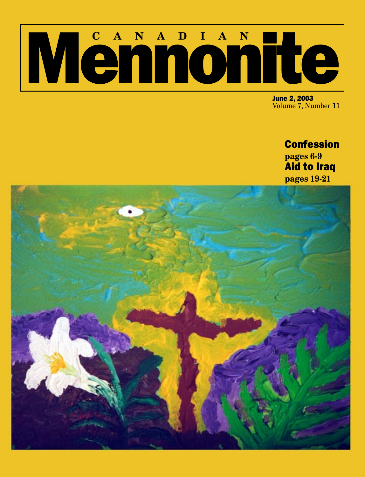# Mennonie

June 2, 2003 Volume 7, Number 11

# **Confession pages 6-9**

Aid to Iraq **pages 19-21**

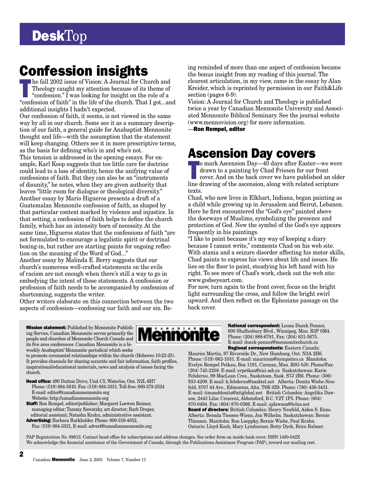# **DeskTop**

The fall 2002 issue of Vision: A Journal for Church and<br>Theology caught my attention because of its theme of<br>"confession." I was looking for insight on the role of a<br>"septection of faith" in the life of the church That I g Theology caught my attention because of its theme of "confession." I was looking for insight on the role of a "confession of faith" in the life of the church. That I got...and additional insights I hadn't expected.

Our confession of faith, it seems, is not viewed in the same way by all in our church. Some see it as a summary description of our faith, a general guide for Anabaptist Mennonite thought and life—with the assumption that the statement will keep changing. Others see it in more prescriptive terms, as the basis for defining who's in and who's not. This tension is addressed in the opening essays. For example, Karl Koop suggests that too little care for doctrine could lead to a loss of identity, hence the unifying value of confessions of faith. But they can also be an "instruments of disunity," he notes, when they are given authority that leaves "little room for dialogue or theological diversity." Another essay by Mario Higueros presents a draft of a Guatemalan Mennonite confession of faith, as shaped by that particular context marked by violence and injustice. In that setting, a confession of faith helps to define the church family, which has an intensity born of necessity. At the same time, Higueros states that the confessions of faith "are not formulated to encourage a legalistic spirit or doctrinal boxing-in, but rather are starting points for ongoing reflection on the meaning of the Word of God..."

Another essay by Malinda E. Berry suggests that our church's numerous well-crafted statements on the evils of racism are not enough when there's still a way to go in embodying the intent of those statements. A confession or profession of faith needs to be accompanied by confession of shortcoming, suggests the writer.

Other writers elaborate on this connection between the two aspects of confession—confessing our faith and our sin. Be-

**Confession insights**<br> **Confession** became the bonus insight from my reading of this journal. The<br> **Confession** became in the sesay by Alan the bonus insight from my reading of this journal. The clearest articulation, in my view, came in the essay by Alan Kreider, which is reprinted by permission in our Faith&Life section (pages 6-9).

Vision: A Journal for Church and Theology is published twice a year by Canadian Mennonite University and Associated Mennonite Biblical Seminary. See the journal website (www.mennovision.org) for more information.

—Ron Rempel, editor

# Ascension Day covers

o mark Ascension Day—40 days after Easter—we were<br>drawn to a painting by Chad Friesen for our front<br>cover. And on the back cover we have published an old<br>line drawing of the ascension, along with related scripture o mark Ascension Day—40 days after Easter—we were drawn to a painting by Chad Friesen for our front cover. And on the back cover we have published an older texts.

Chad, who now lives in Elkhart, Indiana, began painting as a child while growing up in Jerusalem and Beirut, Lebanon. Here he first encountered the "God's eye" painted above the doorways of Muslims, symbolizing the presence and protection of God. Now the symbol of the God's eye appears frequently in his paintings.

"I like to paint because it's my way of keeping a diary because I cannot write," comments Chad on his web site. With ataxia and a seizure disorder affecting his motor skills, Chad paints to express his views about life and issues. He lies on the floor to paint, steadying his left hand with his right. To see more of Chad's work, check out the web site: www.godseyeart.com.

For now, turn again to the front cover, focus on the bright light surrounding the cross, and follow the bright swirl upward. And then reflect on the Ephesians passage on the back cover.

Mission statement: Published by Mennonite Publishing Service, Canadian Mennonite serves primarily the people and churches of Mennonite Church Canada and its five area conferences. Canadian Mennonite is a biweekly Anabaptist/ Mennonite periodical which seeks

to promote covenantal relationships within the church (Hebrews 10:23-25). It provides channels for sharing accurate and fair information, faith profiles, inspirational/educational materials, news and analysis of issues facing the church.

Head office: 490 Dutton Drive, Unit C5, Waterloo, Ont. N2L 6H7 Phone: (519) 884-3810. Fax: (519) 884-3331. Toll-free: 800-378-2524 E-mail: editor@canadianmennonite.org Website: http://canadianmennonite.org

Staff: Ron Rempel, editor/publisher; Margaret Loewen Reimer, managing editor; Tammy Sawatzky, art director; Barb Draper, editorial assistant; Natasha Krahn, administrative assistant. Advertising: Barbara Burkholder. Phone: 800-316-4052,



National correspondent: Leona Dueck Penner, 600 Shaftesbury Blvd., Winnipeg, Man. R3P 0M4. Phone: (204) 888-6781. Fax: (204) 831-5675. E-mail: dueck-penner@mennonitechurch.ca Regional correspondents: Eastern Canada:

Maurice Martin, 97 Riverside Dr., New Hamburg, Ont. N3A 2H6. Phone: (519) 662-1031. E-mail: mauricem@sympatico.ca Manitoba: Evelyn Rempel Petkau, Box 1191, Carman, Man. R0G 0J0. Phone/Fax: (204) 745-2208. E-mail: erpetkau@cici.mb.ca Saskatchewan: Karin Fehderau, 99 MacLean Cres., Saskatoon, Sask. S7J 2R6. Phone: (306) 933-4209. E-mail: k.fehderau@sasktel.net Alberta: Donita Wiebe-Neufeld, 8707 44 Ave., Edmonton, Alta. T6K 0Z9. Phone: (780) 436-3431. E-mail: timanddonita@attglobal.net British Columbia: Angelika Dawson, 2443 Lilac Crescent, Abbotsford, B.C. V2T 1P5. Phone: (604) 870-0494. Fax: (604) 870-0366. E-mail: ajdawson@telus.net Board of directors: British Columbia: Henry Neufeld, Aiden S. Enns. Alberta: Brenda Tiessen-Wiens, Jan Wilhelm. Saskatchewan: Bernie Thiessen. Manitoba: Ron Loeppky, Bernie Wiebe, Paul Krahn. Ontario: Lloyd Koch, Mary Lymburner, Betty Dyck, Brice Balmer.

PAP Registration No. 09613. Contact head office for subscriptions and address changes. See order form on inside back cover. ISSN 1480-042X We acknowledge the financial assistance of the Government of Canada, through the Publications Assistance Program (PAP), toward our mailing cost.

Fax: (519) 884-3331, E-mail: advert@canadianmennonite.org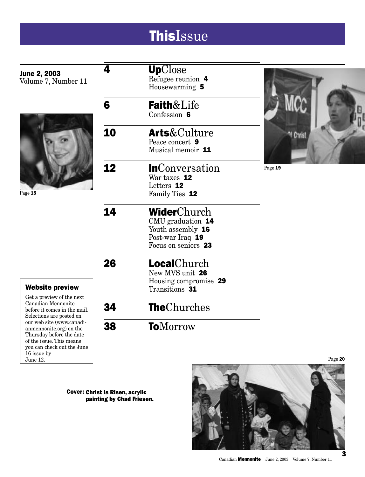# **ThisIssue**

|                                                          | 4  | <b>Up</b> Close        |           |
|----------------------------------------------------------|----|------------------------|-----------|
| <b>June 2, 2003</b>                                      |    | Refugee reunion 4      |           |
| Volume 7, Number 11                                      |    | Housewarming 5         |           |
|                                                          |    |                        |           |
|                                                          | 6  | <b>Faith&amp;Life</b>  |           |
|                                                          |    | Confession 6           |           |
|                                                          |    |                        |           |
|                                                          | 10 | <b>Arts</b> &Culture   |           |
|                                                          |    | Peace concert 9        | '' Christ |
|                                                          |    | Musical memoir 11      |           |
|                                                          |    |                        |           |
|                                                          | 12 | <b>In</b> Conversation | Page 19   |
|                                                          |    | War taxes 12           |           |
|                                                          |    | Letters 12             |           |
| Page 15                                                  |    | Family Ties 12         |           |
|                                                          |    |                        |           |
|                                                          | 14 | WiderChurch            |           |
|                                                          |    | CMU graduation 14      |           |
|                                                          |    | Youth assembly 16      |           |
|                                                          |    | Post-war Iraq 19       |           |
|                                                          |    | Focus on seniors 23    |           |
|                                                          |    |                        |           |
|                                                          | 26 | <b>Local</b> Church    |           |
|                                                          |    | New MVS unit 26        |           |
|                                                          |    | Housing compromise 29  |           |
| <b>Website preview</b>                                   |    | Transitions 31         |           |
| Get a preview of the next                                |    |                        |           |
| Canadian Mennonite                                       | 34 | <b>TheChurches</b>     |           |
| before it comes in the mail.<br>Selections are posted on |    |                        |           |
| our web site (www.canadi-                                | 38 | <b>To</b> Morrow       |           |
| anmennonite.org) on the<br>Thursday before the date      |    |                        |           |
| of the issue. This means                                 |    |                        |           |
| you can check out the June                               |    |                        |           |
| 16 issue by                                              |    |                        |           |

Cover: Christ Is Risen, acrylic painting by Chad Friesen.

June 12.



Canadian Mennonite June 2, 2003 Volume 7, Number 11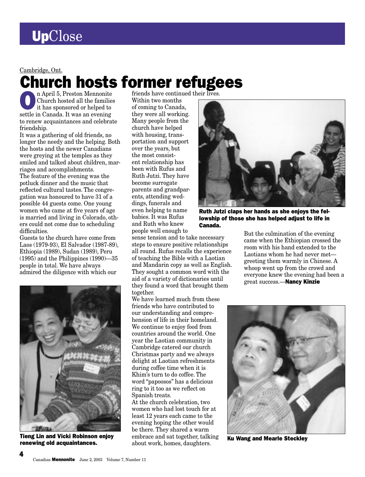Cambridge, Ont.

# **Church hosts former refugees**

**On April 5, Preston Mennonite**<br>Church hosted all the families<br>it has sponsored or helped to Church hosted all the families it has sponsored or helped to settle in Canada. It was an evening to renew acquaintances and celebrate friendship.

It was a gathering of old friends, no longer the needy and the helping. Both the hosts and the newer Canadians were greying at the temples as they smiled and talked about children, marriages and accomplishments.

The feature of the evening was the potluck dinner and the music that reflected cultural tastes. The congregation was honoured to have 31 of a possible 44 guests come. One young women who came at five years of age is married and living in Colorado, others could not come due to scheduling difficulties.

Guests to the church have come from Laos (1979-93), El Salvador (1987-89), Ethiopia (1989), Sudan (1989), Peru (1995) and the Philippines (1990)—35 people in total. We have always admired the diligence with which our



Tieng Lin and Vicki Robinson enjoy **Tieng Lin and Vicki Robinson enjoy** embrace and sat together, talking **Ku Wang and Mearle Steckley renewing old acquaintances.** About work, homes, daughters.

4

Within two months of coming to Canada, they were all working. Many people from the church have helped with housing, transportation and support over the years, but the most consistent relationship has been with Rufus and Ruth Jutzi. They have become surrogate parents and grandparents, attending weddings, funerals and even helping to name babies. It was Rufus and Ruth who knew people well enough to

sense tension and to take necessary steps to ensure positive relationships all round. Rufus recalls the experience of teaching the Bible with a Laotian and Mandarin copy as well as English. They sought a common word with the aid of a variety of dictionaries until they found a word that brought them together.

We have learned much from these friends who have contributed to our understanding and comprehension of life in their homeland. We continue to enjoy food from countries around the world. One year the Laotian community in Cambridge catered our church Christmas party and we always delight at Laotian refreshments during coffee time when it is Khim's turn to do coffee. The word "papoosos" has a delicious ring to it too as we reflect on Spanish treats.

At the church celebration, two women who had lost touch for at least 12 years each came to the evening hoping the other would be there. They shared a warm embrace and sat together, talking about work, homes, daughters.



Ruth Jutzi claps her hands as she enjoys the fellowship of those she has helped adjust to life in Canada.

But the culmination of the evening came when the Ethiopian crossed the room with his hand extended to the Laotians whom he had never met greeting them warmly in Chinese. A whoop went up from the crowd and everyone knew the evening had been a great success.—Nancy Kinzie

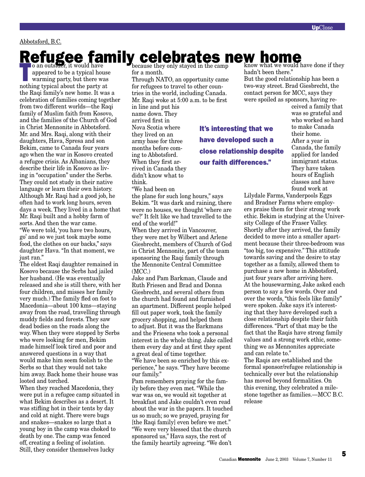### Abbotsford, B.C.

# **Refugee family celebrates new home** band with the valid **have** because they only stayed in the camp

o an outsider, it would have<br>appeared to be a typical hou<br>warming party, but there we<br>nothing typical shout the next set appeared to be a typical house warming party, but there was nothing typical about the party at the Raqi family's new home. It was a celebration of families coming together from two different worlds—the Raqi family of Muslim faith from Kosovo, and the families of the Church of God in Christ Mennonite in Abbotsford. Mr. and Mrs. Raqi, along with their daughters, Hava, Spresa and son Bekim, came to Canada four years ago when the war in Kosovo created a refugee crisis. As Albanians, they describe their life in Kosovo as living in "occupation" under the Serbs. They could not study in their native language or learn their own history. Although Mr. Raqi had a good job, he often had to work long hours, seven days a week. They lived in a home that Mr. Raqi built and a hobby farm of sorts. And then the war came. "We were told, 'you have two hours, go' and so we just took maybe some food, the clothes on our backs," says daughter Hava. "In that moment, we just ran."

The eldest Raqi daughter remained in Kosovo because the Serbs had jailed her husband. (He was eventually released and she is still there, with her four children, and misses her family very much.) The family fled on foot to Macedonia—about 100 kms—staying away from the road, travelling through muddy fields and forests. They saw dead bodies on the roads along the way. When they were stopped by Serbs who were looking for men, Bekim made himself look tired and poor and answered questions in a way that would make him seem foolish to the Serbs so that they would not take him away. Back home their house was looted and torched.

When they reached Macedonia, they were put in a refugee camp situated in what Bekim describes as a desert. It was stifling hot in their tents by day and cold at night. There were bugs and snakes—snakes so large that a young boy in the camp was choked to death by one. The camp was fenced off, creating a feeling of isolation. Still, they consider themselves lucky

for a month.

Through NATO, an opportunity came for refugees to travel to other countries in the world, including Canada. Mr. Raqi woke at 5:00 a.m. to be first

in line and put his name down. They arrived first in Nova Scotia where they lived on an army base for three months before coming to Abbotsford. When they first arrived in Canada they didn't know what to think.

"We had been on

the plane for such long hours," says Bekim. "It was dark and raining, there were no houses, we thought 'where are we?' It felt like we had travelled to the end of the world!"

When they arrived in Vancouver, they were met by Wilbert and Arlene Giesbrecht, members of Church of God in Christ Mennonite, part of the team sponsoring the Raqi family through the Mennonite Central Committee  $(MCC)$ 

Jake and Pam Barkman, Claude and Ruth Friesen and Brad and Donna Giesbrecht, and several others from the church had found and furnished an apartment. Different people helped fill out paper work, took the family grocery shopping, and helped them to adjust. But it was the Barkmans and the Friesens who took a personal interest in the whole thing. Jake called them every day and at first they spent a great deal of time together.

"We have been so enriched by this experience," he says. "They have become our family."

Pam remembers praying for the family before they even met. "While the war was on, we would sit together at breakfast and Jake couldn't even read about the war in the papers. It touched us so much; so we prayed, praying for [the Raqi family] even before we met." "We were very blessed that the church sponsored us," Hava says, the rest of the family heartily agreeing. "We don't

It's interesting that we have developed such a close relationship despite our faith differences."

know what we would have done if they hadn't been there."

But the good relationship has been a two-way street. Brad Giesbrecht, the contact person for MCC, says they were spoiled as sponsors, having re-

ceived a family that was so grateful and who worked so hard to make Canada their home. After a year in Canada, the family applied for landed immigrant status. They have taken hours of English classes and have found work at

Lilydale Farms, Vanderpools Eggs and Bradner Farms where employers praise them for their strong work ethic. Bekim is studying at the University College of the Fraser Valley. Shortly after they arrived, the family decided to move into a smaller apartment because their three-bedroom was "too big, too expensive." This attitude towards saving and the desire to stay together as a family, allowed them to purchase a new home in Abbotsford, just four years after arriving here. At the housewarming, Jake asked each person to say a few words. Over and over the words, "this feels like family" were spoken. Jake says it's interesting that they have developed such a close relationship despite their faith differences. "Part of that may be the fact that the Raqis have strong family values and a strong work ethic, something we as Mennonites appreciate and can relate to."

The Raqis are established and the formal sponsor/refugee relationship is technically over but the relationship has moved beyond formalities. On this evening, they celebrated a milestone together as families.—MCC B.C. release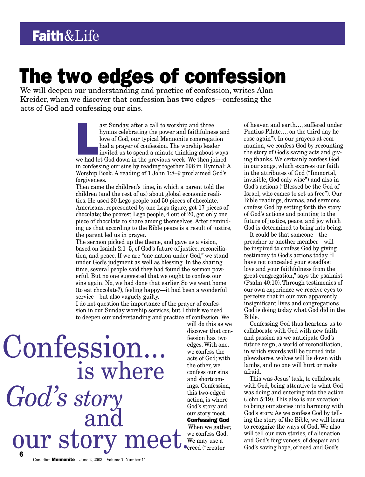# The two edges of confession

We will deepen our understanding and practice of confession, writes Alan Kreider, when we discover that confession has two edges—confessing the acts of God and confessing our sins.

> ast Sunday, after a call to worship and three<br>hymns celebrating the power and faithfulness and<br>love of God, our typical Mennonite congregation<br>had a prayer of confession. The worship leader<br>invited us to spend a minute thi ast Sunday, after a call to worship and three hymns celebrating the power and faithfulness and love of God, our typical Mennonite congregation had a prayer of confession. The worship leader invited us to spend a minute thinking about ways in confessing our sins by reading together 696 in Hymnal: A Worship Book. A reading of 1 John 1:8–9 proclaimed God's forgiveness.

> Then came the children's time, in which a parent told the children (and the rest of us) about global economic realities. He used 20 Lego people and 50 pieces of chocolate. Americans, represented by one Lego figure, got 17 pieces of chocolate; the poorest Lego people, 4 out of 20, got only one piece of chocolate to share among themselves. After reminding us that according to the Bible peace is a result of justice, the parent led us in prayer.

The sermon picked up the theme, and gave us a vision, based on Isaiah 2:1–5, of God's future of justice, reconciliation, and peace. If we are "one nation under God," we stand under God's judgment as well as blessing. In the sharing time, several people said they had found the sermon powerful. But no one suggested that we ought to confess our sins again. No, we had done that earlier. So we went home (to eat chocolate?), feeling happy—it had been a wonderful service—but also vaguely guilty.

I do not question the importance of the prayer of confession in our Sunday worship services, but I think we need to deepen our understanding and practice of confession. We

6 OUT Story meet. We confess God. We will tell our own stories, of alienation and God's forgiveness, of despair and Confession... *God's story* and

will do this as we discover that confession has two edges. With one, we confess the acts of God; with the other, we confess our sins and shortcomings. Confession, this two-edged action, is where God's story and our story meet. Confessing God When we gather, we confess God. We may use a

creed ("creator

of heaven and earth…, suffered under Pontius Pilate…, on the third day he rose again"). In our prayers at communion, we confess God by recounting the story of God's saving acts and giving thanks. We certainly confess God in our songs, which express our faith in the attributes of God ("Immortal, invisible, God only wise") and also in God's actions ("Blessed be the God of Israel, who comes to set us free"). Our Bible readings, dramas, and sermons confess God by setting forth the story of God's actions and pointing to the future of justice, peace, and joy which God is determined to bring into being.

It could be that someone—the preacher or another member—will be inspired to confess God by giving testimony to God's actions today. "I have not concealed your steadfast love and your faithfulness from the great congregation," says the psalmist (Psalm 40:10). Through testimonies of our own experience we receive eyes to perceive that in our own apparently insignificant lives and congregations God is doing today what God did in the Bible.

Confessing God thus heartens us to collaborate with God with new faith and passion as we anticipate God's future reign, a world of reconciliation, in which swords will be turned into plowshares, wolves will lie down with lambs, and no one will hurt or make afraid.

This was Jesus' task, to collaborate with God, being attentive to what God was doing and entering into the action (John 5:19). This also is our vocation: to bring our stories into harmony with God's story. As we confess God by telling the story of the Bible, we will learn to recognize the ways of God. We also will tell our own stories, of alienation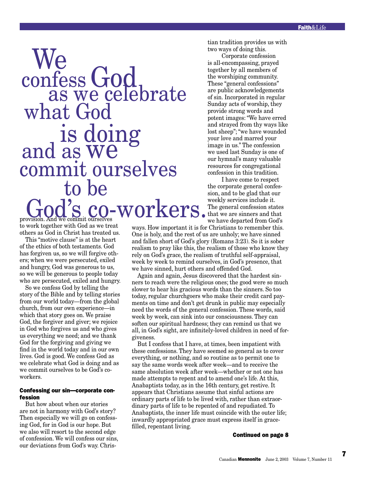# provision. And we commit ourselves to be God's co-workers. confess God<br>as we celebrate what God is doing and as we commit ourselves We

tian tradition provides us with two ways of doing this.

Corporate confession is all-encompassing, prayed together by all members of the worshiping community. These "general confessions" are public acknowledgements of sin. Incorporated in regular Sunday acts of worship, they provide strong words and potent images: "We have erred and strayed from thy ways like lost sheep"; "we have wounded your love and marred your image in us." The confession we used last Sunday is one of our hymnal's many valuable resources for congregational confession in this tradition.

I have come to respect the corporate general confession, and to be glad that our weekly services include it. The general confession states that we are sinners and that we have departed from God's

to work together with God as we treat others as God in Christ has treated us.

This "motive clause" is at the heart of the ethics of both testaments. God has forgiven us, so we will forgive others; when we were persecuted, exiled and hungry, God was generous to us, so we will be generous to people today who are persecuted, exiled and hungry.

So we confess God by telling the story of the Bible and by telling stories from our world today—from the global church, from our own experience—in which that story goes on. We praise God, the forgiver and giver; we rejoice in God who forgives us and who gives us everything we need; and we thank God for the forgiving and giving we find in the world today and in our own lives. God is good. We confess God as we celebrate what God is doing and as we commit ourselves to be God's coworkers.

### Confessing our sin—corporate confession

But how about when our stories are not in harmony with God's story? Then especially we will go on confessing God, for in God is our hope. But we also will resort to the second edge of confession. We will confess our sins, our deviations from God's way. Chrisways. How important it is for Christians to remember this. One is holy, and the rest of us are unholy; we have sinned and fallen short of God's glory (Romans 3:23). So it is sober realism to pray like this, the realism of those who know they rely on God's grace, the realism of truthful self-appraisal, week by week to remind ourselves, in God's presence, that we have sinned, hurt others and offended God.

Again and again, Jesus discovered that the hardest sinners to reach were the religious ones; the good were so much slower to hear his gracious words than the sinners. So too today, regular churchgoers who make their credit card payments on time and don't get drunk in public may especially need the words of the general confession. These words, said week by week, can sink into our consciousness. They can soften our spiritual hardness; they can remind us that we all, in God's sight, are infinitely-loved children in need of forgiveness.

But I confess that I have, at times, been impatient with these confessions. They have seemed so general as to cover everything, or nothing, and so routine as to permit one to say the same words week after week—and to receive the same absolution week after week—whether or not one has made attempts to repent and to amend one's life. At this, Anabaptists today, as in the 16th century, get restive. It appears that Christians assume that sinful actions are ordinary parts of life to be lived with, rather than extraordinary parts of life to be repented of and repudiated. To Anabaptists, the inner life must coincide with the outer life; inwardly appropriated grace must express itself in gracefilled, repentant living.

Continued on page 8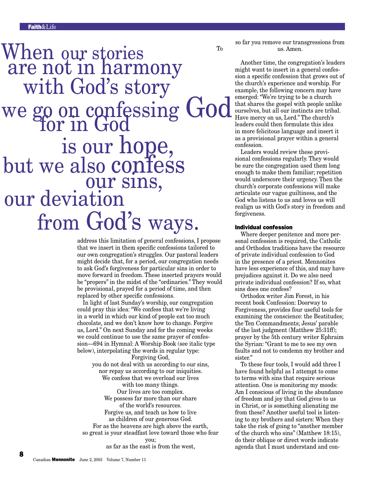# To we go on confessing God but we also confess When our stories<br>are not in harmony with God's story is our hope, our deviation from God's ways. our sins, for in God

address this limitation of general confessions, I propose that we insert in them specific confessions tailored to our own congregation's struggles. Our pastoral leaders might decide that, for a period, our congregation needs to ask God's forgiveness for particular sins in order to move forward in freedom. These inserted prayers would be "propers" in the midst of the "ordinaries." They would be provisional, prayed for a period of time, and then replaced by other specific confessions.

In light of last Sunday's worship, our congregation could pray this idea: "We confess that we're living in a world in which our kind of people eat too much chocolate, and we don't know how to change. Forgive us, Lord." On next Sunday and for the coming weeks we could continue to use the same prayer of confession—694 in Hymnal: A Worship Book (see italic type below), interpolating the words in regular type:

Forgiving God, you do not deal with us according to our sins, nor repay us according to our iniquities. We confess that we overload our lives with too many things. Our lives are too complex. We possess far more than our share of the world's resources. Forgive us, and teach us how to live as children of our generous God. For as the heavens are high above the earth, so great is your steadfast love toward those who fear you;

as far as the east is from the west,

so far you remove our transgressions from us. Amen.

Another time, the congregation's leaders might want to insert in a general confession a specific confession that grows out of the church's experience and worship. For example, the following concern may have emerged: "We're trying to be a church that shares the gospel with people unlike ourselves, but all our instincts are tribal. Have mercy on us, Lord." The church's leaders could then formulate this idea in more felicitous language and insert it as a provisional prayer within a general confession.

Leaders would review these provisional confessions regularly. They would be sure the congregation used them long enough to make them familiar; repetition would underscore their urgency. Then the church's corporate confessions will make articulate our vague guiltiness, and the God who listens to us and loves us will realign us with God's story in freedom and forgiveness.

### Individual confession

Where deeper penitence and more personal confession is required, the Catholic and Orthodox traditions have the resource of private individual confession to God in the presence of a priest. Mennonites have less experience of this, and may have prejudices against it. Do we also need private individual confession? If so, what sins does one confess?

Orthodox writer Jim Forest, in his recent book Confession: Doorway to Forgiveness, provides four useful tools for examining the conscience: the Beatitudes; the Ten Commandments; Jesus' parable of the last judgment (Matthew 25:31ff); prayer by the 5th century writer Ephraim the Syrian: "Grant to me to see my own faults and not to condemn my brother and sister."

To these four tools, I would add three I have found helpful as I attempt to come to terms with sins that require serious attention. One is monitoring my moods: Am I conscious of living in the abundance of freedom and joy that God gives to us in Christ, or is something alienating me from these? Another useful tool is listening to my brothers and sisters: When they take the risk of going to "another member of the church who sins" (Matthew 18:15), do their oblique or direct words indicate agenda that I must understand and con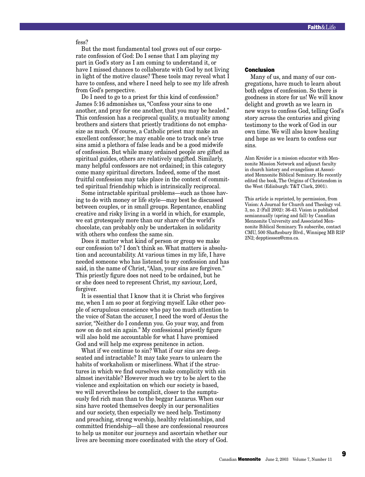fess?

But the most fundamental tool grows out of our corporate confession of God: Do I sense that I am playing my part in God's story as I am coming to understand it, or have I missed chances to collaborate with God by not living in light of the motive clause? These tools may reveal what I have to confess, and where I need help to see my life afresh from God's perspective.

Do I need to go to a priest for this kind of confession? James 5:16 admonishes us, "Confess your sins to one another, and pray for one another, that you may be healed." This confession has a reciprocal quality, a mutuality among brothers and sisters that priestly traditions do not emphasize as much. Of course, a Catholic priest may make an excellent confessor; he may enable one to track one's true sins amid a plethora of false leads and be a good midwife of confession. But while many ordained people are gifted as spiritual guides, others are relatively ungifted. Similarly, many helpful confessors are not ordained; in this category come many spiritual directors. Indeed, some of the most fruitful confession may take place in the context of committed spiritual friendship which is intrinsically reciprocal.

Some intractable spiritual problems—such as those having to do with money or life style—may best be discussed between couples, or in small groups. Repentance, enabling creative and risky living in a world in which, for example, we eat grotesquely more than our share of the world's chocolate, can probably only be undertaken in solidarity with others who confess the same sin.

Does it matter what kind of person or group we make our confession to? I don't think so. What matters is absolution and accountability. At various times in my life, I have needed someone who has listened to my confession and has said, in the name of Christ, "Alan, your sins are forgiven." This priestly figure does not need to be ordained, but he or she does need to represent Christ, my saviour, Lord, forgiver.

It is essential that I know that it is Christ who forgives me, when I am so poor at forgiving myself. Like other people of scrupulous conscience who pay too much attention to the voice of Satan the accuser, I need the word of Jesus the savior, "Neither do I condemn you. Go your way, and from now on do not sin again." My confessional priestly figure will also hold me accountable for what I have promised God and will help me express penitence in action.

What if we continue to sin? What if our sins are deepseated and intractable? It may take years to unlearn the habits of workaholism or miserliness. What if the structures in which we find ourselves make complicity with sin almost inevitable? However much we try to be alert to the violence and exploitation on which our society is based, we will nevertheless be complicit, closer to the sumptuously fed rich man than to the beggar Lazarus. When our sins have rooted themselves deeply in our personalities and our society, then especially we need help. Testimony and preaching, strong worship, healthy relationships, and committed friendship—all these are confessional resources to help us monitor our journeys and ascertain whether our lives are becoming more coordinated with the story of God.

### Conclusion

Many of us, and many of our congregations, have much to learn about both edges of confession. So there is goodness in store for us! We will know delight and growth as we learn in new ways to confess God, telling God's story across the centuries and giving testimony to the work of God in our own time. We will also know healing and hope as we learn to confess our sins.

Alan Kreider is a mission educator with Mennonite Mission Network and adjunct faculty in church history and evangelism at Associated Mennonite Biblical Seminary. He recently edited the book, The Origins of Christendom in the West (Edinburgh: T&T Clark, 2001).

This article is reprinted, by permission, from Vision: A Journal for Church and Theology vol. 3, no. 2 (Fall 2002): 36-43. Vision is published semiannually (spring and fall) by Canadian Mennonite University and Associated Mennonite Biblical Seminary. To subscribe, contact CMU, 500 Shaftesbury Blvd., Winnipeg MB R3P 2N2; depptiessen@cmu.ca.

9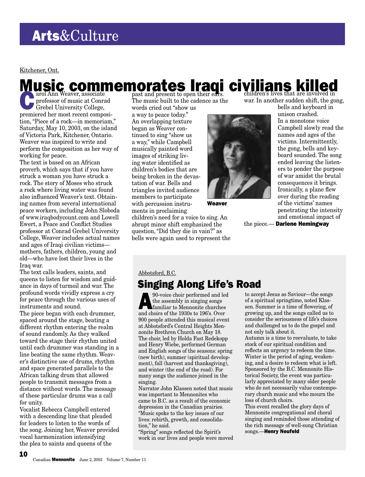Kitchener, Ont.

# **Music commemorates Iraqi civilians killed**

arol Ann Weaver, associate<br>professor of music at Conra<br>Grebel University College, professor of music at Conrad Grebel University College, premiered her most recent composition, "Piece of a rock—in memoriam," Saturday, May 10, 2003, on the island of Victoria Park, Kitchener, Ontario. Weaver was inspired to write and perform the composition as her way of working for peace.

The text is based on an African proverb, which says that if you have struck a woman you have struck a rock. The story of Moses who struck a rock where living water was found also influenced Weaver's text. Obtaining names from several international peace workers, including John Sloboda of www.iraqbodycount.com and Lowell Ewert, a Peace and Conflict Studies professor at Conrad Grebel University College, Weaver includes actual names and ages of Iraqi civilian victims mothers, fathers, children, young and old—who have lost their lives in the Iraq war.

The text calls leaders, saints, and queens to listen for wisdom and guidance in days of turmoil and war. The profound words vividly express a cry for peace through the various uses of instruments and sound.

The piece began with each drummer, spaced around the stage, beating a different rhythm entering the realm of sound randomly. As they walked toward the stage their rhythm united until each drummer was standing in a line beating the same rhythm. Weaver's distinctive use of drums, rhythm and space generated parallels to the African talking drum that allowed people to transmit messages from a distance without words. The message of these particular drums was a call for unity.

Vocalist Rebecca Campbell entered with a descending line that pleaded for leaders to listen to the words of the song. Joining her, Weaver provided vocal harmonization intensifying the plea to saints and queens of the

The music built to the cadence as the words cried out "show us

a way to peace today." An overlapping texture began as Weaver continued to sing "show us a way," while Campbell musically painted word images of striking living water identified as children's bodies that are being broken in the devastation of war. Bells and triangles invited audience members to participate with percussion instruments in proclaiming

Weaver

children's need for a voice to sing. An abrupt minor shift emphasized the question, "Did they die in vain?" as bells were again used to represent the war. In another sudden shift, the gong,

bells and keyboard in unison crashed. In a monotone voice Campbell slowly read the names and ages of the victims. Intermittently, the gong, bells and keyboard sounded. The song ended leaving the listeners to ponder the purpose of war amidst the brutal consequences it brings. Ironically, a plane flew over during the reading of the victims' names penetrating the intensity and emotional impact of

the piece.- Darlene Hemingway

### Abbotsford, B.C.

# Singing Along Life's Road

 $\sum_{\text{the assembly in signing songs}}$ <br>the assembly in singing songs<br>familiar to Mennonite churches the assembly in singing songs familiar to Mennonite churches and choirs of the 1930s to 196's. Over 900 people attended this musical event at Abbotsford's Central Heights Mennonite Brethren Church on May 18. The choir, led by Holda Fast Redekopp and Henry Wiebe, performed German and English songs of the seasons: spring (new birth), summer (spiritual development), fall (harvest and thanksgiving), and winter (the end of the road). For many songs the audience joined in the singing.

Narrator John Klassen noted that music was important to Mennonites who came to B.C. as a result of the economic depression in the Canadian prairies. "Music spoke to the key issues of our lives: rebirth, growth, and consolidation," he said.

"Spring" songs reflected the Spirit's work in our lives and people were moved

to accept Jesus as Saviour—the songs of a spiritual springtime, noted Klassen. Summer is a time of flowering, of growing up, and the songs called us to consider the seriousness of life's choices and challenged us to do the gospel and not only talk about it.

Autumn is a time to reevaluate, to take stock of our spiritual condition and reflects an urgency to redeem the time. Winter is the period of aging, weakening, and a desire to redeem what is left. Sponsored by the B.C. Mennonite Historical Society, the event was particularly appreciated by many older people who do not necessarily value contemporary church music and who mourn the loss of church choirs.

This event recalled the glory days of Mennonite congregational and choral singing and reminded those attending of the rich message of well-sung Christian songs.—Henry Neufeld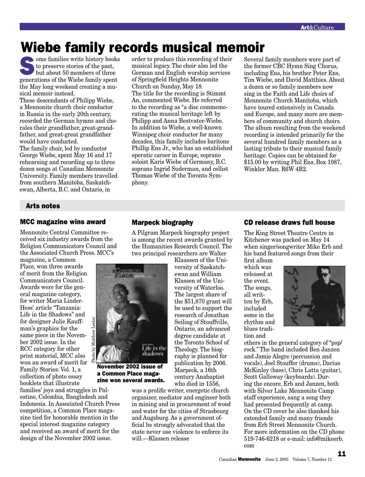# Wiebe family records musical memoir

 $\bullet$  ome families write history books to preserve stories of the past, but about 50 members of three generations of the Wiebe family spent the May long weekend creating a musical memoir instead.

These descendants of Philipp Wiebe, a Mennonite church choir conductor in Russia in the early 20th century, recorded the German hymns and chorales their grandfather, great-grandfather, and great-great grandfather would have conducted. The family choir, led by conductor

George Wiebe, spent May 16 and 17 rehearsing and recording up to three dozen songs at Canadian Mennonite University. Family members travelled from southern Manitoba, Saskatchewan, Alberta, B.C. and Ontario, in

# Arts notes

# MCC magazine wins award

Mennonite Central Committee received six industry awards from the Religion Communicators Council and the Associated Church Press. MCC's

magazine, a Common Place, won three awards of merit from the Religion Communicators Council. Awards were for the general magazine category, for writer Maria Linder-Hess' article "Tanzania: Life in the Shadows" and for designer Julie Kauffman's graphics for the same piece in the November 2002 issue. In the RCC category for other print material, MCC also won an award of merit for Family Stories: Vol. 1, a collection of photo essay booklets that illustrate

families' joys and struggles in Palestine, Colombia, Bangladesh and Indonesia. In Associated Church Press competition, a Common Place magazine tied for honorable mention in the special interest magazine category and received an award of merit for the design of the November 2002 issue.

Photo by Matthew Lester

order to produce this recording of their musical legacy. The choir also led the German and English worship services of Springfield Heights Mennonite Church on Sunday, May 18. The title for the recording is Stimmt An, commented Wiebe. He referred to the recording as "a disc commemorating the musical heritage left by Philipp and Anna Bestvater-Wiebe. In addition to Wiebe, a well-known Winnipeg choir conductor for many decades, this family includes baritone Phillip Ens Jr., who has an established operatic career in Europe, soprano soloist Karis Wiebe of Germany, B.C. soprano Ingrid Suderman, and cellist Thomas Wiebe of the Toronto Symphony.

Several family members were part of the former CBC Hymn Sing Chorus, including Ens, his brother Peter Ens, Tim Wiebe, and David Matthies. About a dozen or so family members now sing in the Faith and Life choirs of Mennonite Church Manitoba, which have toured extensively in Canada and Europe, and many more are members of community and church choirs. The album resulting from the weekend recording is intended primarily for the several hundred family members as a lasting tribute to their musical family heritage. Copies can be obtained for \$15.00 by writing Phil Ens, Box 1087, Winkler Man. R6W 4B2.

# Marpeck biography

A Pilgram Marpeck biography project is among the recent awards granted by the Humanities Research Council. The two principal researchers are Walter

> Klaassen of the University of Saskatchewan and William Klassen of the University of Waterloo. The largest share of the \$51,870 grant will be used to support the research of Jonathan Seiling of Stouffville, Ontario, an advanced degree candidate at the Toronto School of Theology. The biography is planned for publication by 2006. Marpeck, a 16th century Anabaptist who died in 1556,

was a prolific writer, energetic church organizer, mediator and engineer both in mining and in procurement of wood and water for the cities of Strasbourg and Augsburg. As a government official he strongly advocated that the state never use violence to enforce its will.—Klassen release

November 2002 issue of a Common Place magazine won several awards.

Life in the shadows

ön

# CD release draws full house

The King Street Theatre Centre in Kitchener was packed on May 14 when singer/songwriter Mike Erb and his band featured songs from their

first album which was released at the event. The songs, all written by Erb, included some in the rhythm and blues tradition and



others in the general category of "pop/ rock." The band included Ben Janzen and Jamie Alegre (percussion and vocals), Joel Stouffer (drums), Darius McKinley (bass), Chris Latta (guitar), Scott Galloway (keyboards). During the encore, Erb and Janzen, both with Silver Lake Mennonite Camp staff experience, sang a song they had presented frequently at camp. On the CD cover he also thanked his extended family and many friends from Erb Street Mennonite Church. For more information on the CD phone 519-746-6218 or e-mail: info@mikeerb. com

Canadian Mennonite June 2, 2003 Volume 7, Number 11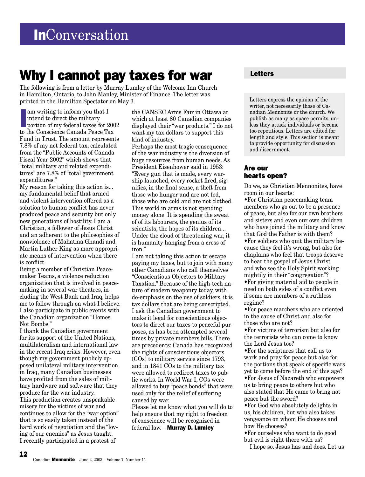# Why I cannot pay taxes for war

The following is from a letter by Murray Lumley of the Welcome Inn Church in Hamilton, Ontario, to John Manley, Minister of Finance. The letter was printed in the Hamilton Spectator on May 3.

am writing to inform you that I<br>intend to direct the military<br>portion of my federal taxes for 200<br>to the Conscience Canada Peace Tax am writing to inform you that I intend to direct the military portion of my federal taxes for 2002 Fund in Trust. The amount represents 7.8% of my net federal tax, calculated from the "Public Accounts of Canada Fiscal Year 2002" which shows that "total military and related expenditures" are 7.8% of "total government expenditures."

My reason for taking this action is... my fundamental belief that armed and violent intervention offered as a solution to human conflict has never produced peace and security but only new generations of hostility. I am a Christian, a follower of Jesus Christ and an adherent to the philosophies of nonviolence of Mahatma Ghandi and Martin Luther King as more appropriate means of intervention when there is conflict.

Being a member of Christian Peacemaker Teams, a violence reduction organization that is involved in peacemaking in several war theatres, including the West Bank and Iraq, helps me to follow through on what I believe. I also participate in public events with the Canadian organization "Homes Not Bombs."

I thank the Canadian government for its support of the United Nations, multilateralism and international law in the recent Iraq crisis. However, even though my government publicly opposed unilateral military intervention in Iraq, many Canadian businesses have profited from the sales of military hardware and software that they produce for the war industry. This production creates unspeakable misery for the victims of war and continues to allow for the "war option" that is so easily taken instead of the hard work of negotiation and the "loving of our enemies" as Jesus taught. I recently participated in a protest of

12

the CANSEC Arms Fair in Ottawa at which at least 80 Canadian companies displayed their "war products." I do not want my tax dollars to support this kind of industry.

Perhaps the most tragic consequence of the war industry is the diversion of huge resources from human needs. As President Eisenhower said in 1953: "Every gun that is made, every warship launched, every rocket fired, signifies, in the final sense, a theft from those who hunger and are not fed, those who are cold and are not clothed. This world in arms is not spending money alone. It is spending the sweat of of its labourers, the genius of its scientists, the hopes of its children... Under the cloud of threatening war, it is humanity hanging from a cross of iron."

I am not taking this action to escape paying my taxes, but to join with many other Canadians who call themselves "Conscientious Objectors to Military Taxation." Because of the high-tech nature of modern weaponry today, with de-emphasis on the use of soldiers, it is tax dollars that are being conscripted. I ask the Canadian government to make it legal for conscientious objectors to direct our taxes to peaceful purposes, as has been attempted several times by private members bills. There are precedents: Canada has recognized the rights of conscientious objectors (COs) to military service since 1793, and in 1841 COs to the military tax were allowed to redirect taxes to public works. In World War I, COs were allowed to buy "peace bonds" that were used only for the relief of suffering caused by war.

Please let me know what you will do to help ensure that my right to freedom of conscience will be recognized in federal law.—Murray D. Lumley

# Letters

Letters express the opinion of the writer, not necessarily those of Canadian Mennonite or the church. We publish as many as space permits, unless they attack individuals or become too repetitious. Letters are edited for length and style. This section is meant to provide opportunity for discussion and discernment.

# Are our hearts open?

Do we, as Christian Mennonites, have room in our hearts:

•For Christian peacemaking team members who go out to be a presence of peace, but also for our own brothers and sisters and even our own children who have joined the military and know that God the Father is with them? •For soldiers who quit the military because they feel it's wrong, but also for chaplains who feel that troops deserve to hear the gospel of Jesus Christ

and who see the Holy Spirit working mightily in their "congregation"? •For giving material aid to people in

need on both sides of a conflict even if some are members of a ruthless regime?

•For peace marchers who are oriented in the cause of Christ and also for those who are not?

•For victims of terrorism but also for the terrorists who can come to know the Lord Jesus too?

•For the scriptures that call us to work and pray for peace but also for the portions that speak of specific wars yet to come before the end of this age? •For Jesus of Nazareth who empowers us to bring peace to others but who also stated that He came to bring not peace but the sword?

•For God who absolutely delights in us, his children, but who also takes vengeance on whom He chooses and how He chooses?

•For ourselves who want to do good but evil is right there with us?

I hope so. Jesus has and does. Let us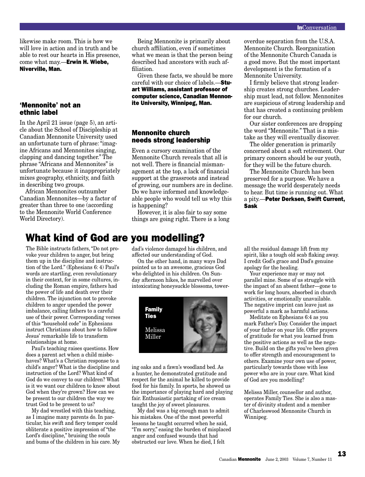likewise make room. This is how we will love in action and in truth and be able to rest our hearts in His presence, come what may.—Erwin H. Wiebe, Niverville, Man.

### 'Mennonite' not an ethnic label

In the April 21 issue (page 5), an article about the School of Discipleship at Canadian Mennonite University used an unfortunate turn of phrase: "imagine Africans and Mennonites singing, clapping and dancing together." The phrase "Africans and Mennonites" is unfortunate because it inappropriately mixes geography, ethnicity, and faith in describing two groups.

African Mennonites outnumber Canadian Mennonites—by a factor of greater than three to one (according to the Mennonite World Conference World Directory).

# What kind of God are you modelling?

The Bible instructs fathers, "Do not provoke your children to anger, but bring them up in the discipline and instruction of the Lord." (Ephesians 6: 4) Paul's words are startling, even revolutionary in their context, for in some cultures, including the Roman empire, fathers had the power of life and death over their children. The injunction not to provoke children to anger upended the power imbalance, calling fathers to a careful use of their power. Corresponding verses of this "household code" in Ephesians instruct Christians about how to follow Jesus' remarkable life to transform relationships at home.

Paul's teaching raises questions. How does a parent act when a child misbehaves? What's a Christian response to a child's anger? What is the discipline and instruction of the Lord? What kind of God do we convey to our children? What is it we want our children to know about God when they're grown? How can we be present to our children the way we trust God to be present to us?

My dad wrestled with this teaching, as I imagine many parents do. In particular, his swift and fiery temper could obliterate a positive impression of "the Lord's discipline," bruising the souls and bums of the children in his care. My

Being Mennonite is primarily about church affiliation, even if sometimes what we mean is that the person being described had ancestors with such affiliation.

Given these facts, we should be more careful with our choice of labels.—Stuart Williams, assistant professor of computer science, Canadian Mennonite University, Winnipeg, Man.

# Mennonite church needs strong leadership

Even a cursory examination of the Mennonite Church reveals that all is not well. There is financial mismanagement at the top, a lack of financial support at the grassroots and instead of growing, our numbers are in decline. Do we have informed and knowledgeable people who would tell us why this is happening?

However, it is also fair to say some things are going right. There is a long

dad's violence damaged his children, and affected our understanding of God.

On the other hand, in many ways Dad pointed us to an awesome, gracious God who delighted in his children. On Sunday afternoon hikes, he marvelled over intoxicating honeysuckle blossoms, tower-



ing oaks and a fawn's woodland bed. As a hunter, he demonstrated gratitude and respect for the animal he killed to provide food for his family. In sports, he showed us the importance of playing hard and playing fair. Enthusiastic partaking of ice cream taught the joy of sweet pleasures.

My dad was a big enough man to admit his mistakes. One of the most powerful lessons he taught occurred when he said, "I'm sorry," easing the burden of misplaced anger and confused wounds that had obstructed our love. When he died, I felt

overdue separation from the U.S.A. Mennonite Church. Reorganization of the Mennonite Church Canada is a good move. But the most important development is the formation of a Mennonite University.

I firmly believe that strong leadership creates strong churches. Leadership must lead, not follow. Mennonites are suspicious of strong leadership and that has created a continuing problem for our church.

Our sister conferences are dropping the word "Mennonite." That is a mistake as they will eventually discover.

The older generation is primarily concerned about a soft retirement. Our primary concern should be our youth, for they will be the future church.

The Mennonite Church has been preserved for a purpose. We have a message the world desperately needs to hear. But time is running out. What a pity.—Peter Derksen, Swift Current, Sask

all the residual damage lift from my spirit, like a tough old scab flaking away. I credit God's grace and Dad's genuine apology for the healing.

Your experience may or may not parallel mine. Some of us struggle with the impact of an absent father—gone to work for long hours, absorbed in church activities, or emotionally unavailable. The negative imprint can leave just as powerful a mark as harmful actions.

Meditate on Ephesians 6:4 as you mark Father's Day. Consider the impact of your father on your life. Offer prayers of gratitude for what you learned from the positive actions as well as the negative. Build on the gifts you've been given to offer strength and encouragement to others. Examine your own use of power, particularly towards those with less power who are in your care. What kind of God are you modelling?

Melissa Miller, counsellor and author, operates Family Ties. She is also a master of divinity student and a member of Charleswood Mennonite Church in Winnipeg.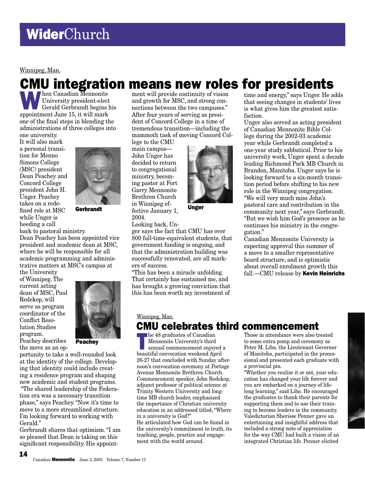Winnipeg, Man.

# CMU integration means new roles for presidents

When Canadian Mennonite<br>University president-elect<br>Gerald Gerbrandt begins l University president-elect Gerald Gerbrandt begins his appointment June 15, it will mark one of the final steps in blending the administrations of three colleges into one university.

It will also mark a personal transition for Menno Simons College (MSC) president Dean Peachey and Concord College president John H. Unger. Peachey takes on a redefined role at MSC while Unger is heeding a call



Gerbrandt

back to pastoral ministry. Dean Peachey has been appointed vice president and academic dean at MSC, where he will be responsible for all academic programming and administrative matters at MSC's campus at

the University of Winnipeg. The current acting dean of MSC, Paul Redekop, will serve as program coordinator of the Conflict Resolution Studies program.

Peachey describes the move as an op-

14



**Peachev** 

portunity to take a well-rounded look at the identity of the college. Developing that identity could include creating a residence program and shaping new academic and student programs.

 "The shared leadership of the Federation era was a necessary transition phase," says Peachey. "Now it's time to move to a more streamlined structure. I'm looking forward to working with Gerald."

Gerbrandt shares that optimism. "I am so pleased that Dean is taking on this significant responsibility. His appoint-

ment will provide continuity of vision and growth for MSC, and strong con-that seeing changes in students' lives nections between the two campuses." After four years of serving as president of Concord College in a time of tremendous transition—including the mammoth task of moving Concord Col-

lege to the CMU main campus— John Unger has decided to return to congregational ministry, becoming pastor at Fort Garry Mennonite Brethren Church in Winnipeg effective January 1, 2004.



Unger

Looking back, Unger says the fact that CMU has over 800 full-time-equivalent students, that government funding is ongoing, and that the administration building was successfully renovated, are all markers of success.

"This has been a miracle unfolding. That certainly has sustained me, and has brought a growing conviction that this has been worth my investment of

time and energy," says Unger. He adds<br>that seeing changes in students' lives is what gives him the greatest satisfaction.

Unger also served as acting president of Canadian Mennonite Bible College during the 2002-03 academic year while Gerbrandt completed a one-year study sabbatical. Prior to his university work, Unger spent a decade leading Richmond Park MB Church in Brandon, Manitoba. Unger says he is looking forward to a six-month transition period before shifting to his new role in the Winnipeg congregation. "We will very much miss John's pastoral care and contribution in the community next year," says Gerbrandt. "But we wish him God's presence as he continues his ministry in the congregation."

Canadian Mennonite University is expecting approval this summer of a move to a smaller representative board structure, and is optimistic about overall enrolment growth this fall.—CMU release by Kevin Heinrichs

# Winnipeg, Man. **CMU celebrates third commencement**<br>**Let 48** graduates of Canadian<br>Those in attendance were also to

**EXECUTE 18 and TE 2018**<br> **EXECUTE 18 annual commencement enjoyed a**<br> **EXECUTE 18 annual commencement enjoyed a**<br> **EXECUTE 18 and 2019** Mennonite University's third beautiful convocation weekend April 26-27 that concluded with Sunday afternoon's convocation ceremony at Portage Avenue Mennonite Brethren Church. Commencement speaker, John Redekop, adjunct professor of political science at Trinity Western University and longtime MB church leader, emphasized the importance of Christian university education in an addressed titled, "Where in a university is God?"

He articulated how God can be found in the university's commitment to truth, its teaching, people, practice and engagement with the world around.

Those in attendance were also treated to some extra pomp and ceremony as Peter M. Liba, the Lieutenant Governor of Manitoba, participated in the processional and presented each graduate with a provincial pin.

"Whether you realize it or not, your education has changed your life forever and you are embarked on a journey of lifelong learning," said Liba. He encouraged the graduates to thank their parents for supporting them and to use their training to become leaders in the community. Valedictorian Sherisse Penner gave an entertaining and insightful address that included a strong note of appreciation for the way CMU had built a vision of an integrated Christian life. Penner elicited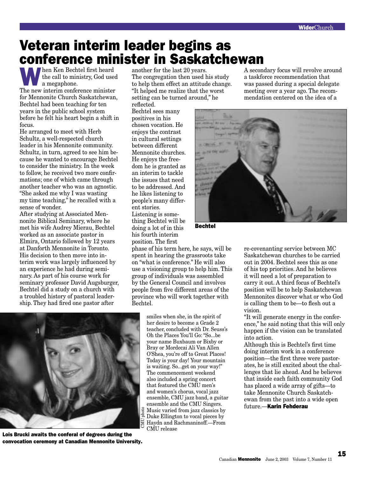# Veteran interim leader begins as conference minister in Saskatchewan

When Ken Bechtel first heard the call to ministry, God used a megaphone.

The new interim conference minister for Mennonite Church Saskatchewan, Bechtel had been teaching for ten years in the public school system before he felt his heart begin a shift in focus.

He arranged to meet with Herb Schultz, a well-respected church leader in his Mennonite community. Schultz, in turn, agreed to see him because he wanted to encourage Bechtel to consider the ministry. In the week to follow, he received two more confirmations; one of which came through another teacher who was an agnostic. "She asked me why I was wasting my time teaching," he recalled with a sense of wonder.

After studying at Associated Mennonite Biblical Seminary, where he met his wife Audrey Mierau, Bechtel worked as an associate pastor in Elmira, Ontario followed by 12 years at Danforth Mennonite in Toronto. His decision to then move into interim work was largely influenced by an experience he had during seminary. As part of his course work for seminary professor David Augsburger, Bechtel did a study on a church with a troubled history of pastoral leadership. They had fired one pastor after

another for the last 20 years. The congregation then used his study to help them effect an attitude change. "It helped me realize that the worst setting can be turned around," he reflected.

Bechtel sees many positives in his chosen vocation. He enjoys the contrast in cultural settings between different Mennonite churches. He enjoys the freedom he is granted as an interim to tackle the issues that need to be addressed. And he likes listening to people's many different stories. Listening is something Bechtel will be doing a lot of in this

his fourth interim position. The first

phase of his term here, he says, will be spent in hearing the grassroots take on "what is conference." He will also use a visioning group to help him. This group of individuals was assembled by the General Council and involves people from five different areas of the province who will work together with Bechtel.

> smiles when she, in the spirit of her desire to become a Grade 2 teacher, concluded with Dr. Seuss's Oh the Places You'll Go: "So...be your name Buxbaum or Bixby or Bray or Mordecai Ali Van Allen O'Shea, you're off to Great Places! Today is your day! Your mountain is waiting. So...get on your way!" The commencement weekend also included a spring concert that featured the CMU men's and women's chorus, vocal jazz ensemble, CMU jazz band, a guitar ensemble and the CMU Singers. Music varied from jazz classics by Duke Ellington to vocal pieces by Haydn and Rachmaninoff.—From CMU release

A secondary focus will revolve around a taskforce recommendation that was passed during a special delegate meeting over a year ago. The recommendation centered on the idea of a



Bechtel

re-covenanting service between MC Saskatchewan churches to be carried out in 2004. Bechtel sees this as one of his top priorities. And he believes it will need a lot of preparation to carry it out. A third focus of Bechtel's position will be to help Saskatchewan Mennonites discover what or who God is calling them to be—to flesh out a vision.

"It will generate energy in the conference," he said noting that this will only happen if the vision can be translated into action.

Although this is Bechtel's first time doing interim work in a conference position—the first three were pastorates, he is still excited about the challenges that lie ahead. And he believes that inside each faith community God has placed a wide array of gifts—to take Mennonite Church Saskatchewan from the past into a wide open future.—Karin Fehderau



Lois Brucki awaits the conferal of degrees during the convocation ceremony at Canadian Mennonite University.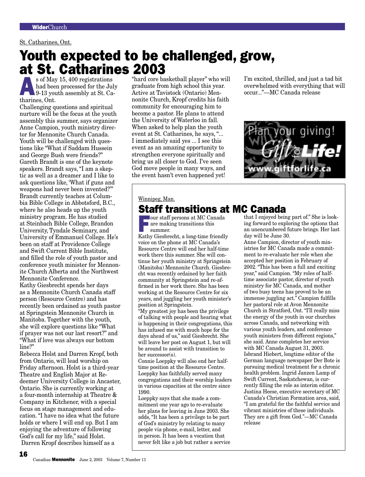### St. Catharines, Ont.

# Youth expected to be challenged, grow, at St. Catharines 2003

s of May 15, 400 registrations<br>had been processed for the July<br>9-13 youth assembly at St. Ca-<br>therings Ont had been processed for the July tharines, Ont.

Challenging questions and spiritual nurture will be the focus at the youth assembly this summer, says organizer Anne Campion, youth ministry director for Mennonite Church Canada. Youth will be challenged with questions like "What if Saddam Hussein and George Bush were friends?" Gareth Brandt is one of the keynote speakers. Brandt says, "I am a skeptic as well as a dreamer and I like to ask questions like, 'What if guns and weapons had never been invented?'" Brandt currently teaches at Columbia Bible College in Abbotsford, B.C., where he also heads up the youth ministry program. He has studied at Steinbach Bible College, Brandon University, Tyndale Seminary, and University of Emmanuel College. He's been on staff at Providence College and Swift Current Bible Institute, and filled the role of youth pastor and conference youth minister for Mennonite Church Alberta and the Northwest Mennonite Conference.

Kathy Giesbrecht spends her days as a Mennonite Church Canada staff person (Resource Centre) and has recently been ordained as youth pastor at Springstein Mennonite Church in Manitoba. Together with the youth, she will explore questions like "What if prayer was not our last resort?" and "What if love was always our bottom line?"

Rebecca Holst and Darren Kropf, both from Ontario, will lead worship on Friday afternoon. Holst is a third-year Theatre and English Major at Redeemer University College in Ancaster, Ontario. She is currently working at a four-month internship at Theatre & Company in Kitchener, with a special focus on stage management and education. "I have no idea what the future holds or where I will end up. But I am enjoying the adventure of following God's call for my life," said Holst. Darren Kropf describes himself as a

"hard core basketball player" who will graduate from high school this year. Active at Tavistock (Ontario) Mennonite Church, Kropf credits his faith community for encouraging him to become a pastor. He plans to attend the University of Waterloo in fall. When asked to help plan the youth event at St. Catharines, he says, "... I immediately said yes ... I see this event as an amazing opportunity to strengthen everyone spiritually and bring us all closer to God. I've seen God move people in many ways, and the event hasn't even happened yet!

I'm excited, thrilled, and just a tad bit overwhelmed with everything that will occur..."—MC Canada release



### Winnipeg, Man.

# **Staff transitions at MC Canada**<br> **Example 1** and  $\sum_{\text{our staff persons at MC Canada}}$  and  $\sum_{\text{that I enjoyed being}}$

Four staff persons at MC Canada<br>are making transitions this<br>summer. are making transitions this summer.

Kathy Giesbrecht, a long-time friendly voice on the phone at MC Canada's Resource Centre will end her half-time work there this summer. She will continue her youth ministry at Springstein (Manitoba) Mennonite Church. Giesbrecht was recently ordained by her faith community at Springstein and re-affirmed in her work there. She has been working at the Resource Centre for six years, and juggling her youth minister's position at Springstein.

"My greatest joy has been the privilege of talking with people and hearing what is happening in their congregations, this has infused me with much hope for the days ahead of us," said Giesbrecht. She will leave her post on August 1, but will be around to assist with transition to her successor(s).

Connie Loeppky will also end her halftime position at the Resource Centre. Loeppky has faithfully served many congregations and their worship leaders in various capacities at the centre since 1990.

Loeppky says that she made a commitment one year ago to re-evaluate her plans for leaving in June 2003. She adds, "It has been a privilege to be part of God's ministry by relating to many people via phone, e-mail, letter, and in person. It has been a vocation that never felt like a job but rather a service

that I enjoyed being part of." She is looking forward to exploring the options that an unencumbered future brings. Her last day will be June 30.

Anne Campion, director of youth ministries for MC Canada made a commitment to re-evaluate her role when she accepted her position in February of 2002. "This has been a full and exciting year," said Campion. "My roles of halftime associate pastor, director of youth ministry for MC Canada, and mother of two busy teens has proved to be an immense juggling act." Campion fulfills her pastoral role at Avon Mennonite Church in Stratford, Ont. "I'll really miss the energy of the youth in our churches across Canada, and networking with various youth leaders, and conference youth ministers from different regions," she said. Anne completes her service with MC Canada August 31, 2003. Isbrand Hiebert, longtime editor of the German language newspaper Der Bote is pursuing medical treatment for a chronic health problem. Ingrid Janzen Lamp of Swift Current, Saskatchewan, is currently filling the role as interim editor. Justina Heese, executive secretary of MC Canada's Christian Formation area, said, "I am grateful for the faithful service and vibrant ministries of these individuals. They are a gift from God."—MC Canada release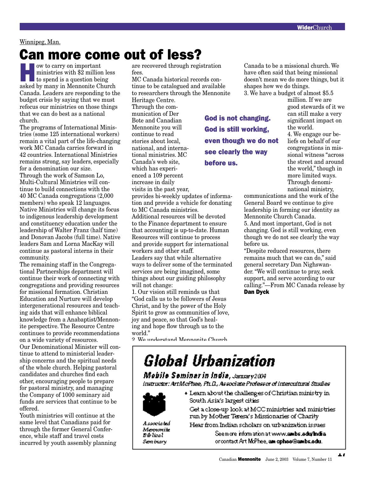### Winnipeg, Man.

# Can more come out of less?

**How to carry on important** ministries with \$2 million less to spend is a question being asked by many in Mennonite Church Canada. Leaders are responding to the budget crisis by saying that we must refocus our ministries on those things that we can do best as a national church.

The programs of International Ministries (some 125 international workers) remain a vital part of the life-changing work MC Canada carries forward in 42 countries. International Ministries remains strong, say leaders, especially for a denomination our size. Through the work of Samson Lo, Multi-Cultural Ministries will continue to build connections with the 40 MC Canada congregations (2,000 members) who speak 12 languages. Native Ministries will change its focus to indigenous leadership development and constituency education under the leadership of Walter Franz (half time) and Donovan Jacobs (full time). Native leaders Sam and Lorna MacKay will continue as pastoral interns in their community.

The remaining staff in the Congregational Partnerships department will continue their work of connecting with congregations and providing resources for missional formation. Christian Education and Nurture will develop intergenerational resources and teaching aids that will enhance biblical knowledge from a Anabaptist/Mennonite perspective. The Resource Centre continues to provide recommendations on a wide variety of resources. Our Denominational Minister will continue to attend to ministerial leadership concerns and the spiritual needs of the whole church. Helping pastoral candidates and churches find each other, encouraging people to prepare for pastoral ministry, and managing the Company of 1000 seminary aid funds are services that continue to be offered.

Youth ministries will continue at the same level that Canadians paid for through the former General Conference, while staff and travel costs incurred by youth assembly planning are recovered through registration fees.

MC Canada historical records continue to be catalogued and available to researchers through the Mennonite

Heritage Centre. Through the communication of Der Bote and Canadian Mennonite you will continue to read stories about local, national, and international ministries. MC Canada's web site, which has experienced a 109 percent increase in daily visits in the past year,

provides bi-weekly updates of information and provide a vehicle for donating to MC Canada ministries.

Additional resources will be devoted to the Finance department to ensure that accounting is up-to-date. Human Resources will continue to process and provide support for international workers and other staff. Leaders say that while alternative ways to deliver some of the terminated

services are being imagined, some things about our guiding philosophy will not change:

1. Our vision still reminds us that "God calls us to be followers of Jesus Christ, and by the power of the Holy Spirit to grow as communities of love, joy and peace, so that God's healing and hope flow through us to the world."

2. We understand Mennonite Church

God is not changing. God is still working, even though we do not see clearly the way before us.

Canada to be a missional church. We have often said that being missional doesn't mean we do more things, but it shapes how we do things. 3. We have a budget of almost \$5.5

million. If we are good stewards of it we can still make a very significant impact on the world.

4. We engage our beliefs on behalf of our congregations in missional witness "across the street and around the world," though in more limited ways. Through denominational ministry,

communications and the work of the General Board we continue to give leadership in forming our identity as Mennonite Church Canada. 5. And most important, God is not changing. God is still working, even though we do not see clearly the way before us.

"Despite reduced resources, there remains much that we can do," said general secretary Dan Nighswander. "We will continue to pray, seek support, and serve according to our calling."—From MC Canada release by Dan Dyck

# **Global Urbanization**

Mobile Seminar in India, January 2004. instructor: ArtMcPhee, Ph.D., Associate Professor of Intercultural Studies.



+ Learn about the challenges of Christian ministry in South Asia's largest cities

Get a close-up look at MCC ministries and ministries run by Mother Teresa's Missionaries of Charity

A seociated Meroconite **Biblical** Senibury,

Hear from Indian scholars on urbanization issues

Seem ore information at www.ambs.edu/India orcontact Art McPhee, am cphee@ambs.edu.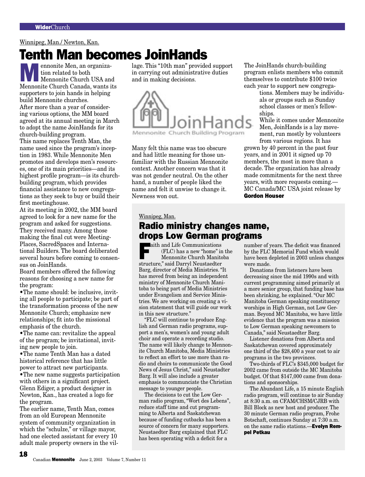### Winnipeg, Man./ Newton, Kan.

# **Tenth Man becomes JoinHands**<br>**Department Men, an organiza-** lage. This "10th man" provide

**Mennonite Men, an organization related to both<br>
Mennonite Church USA and<br>
Mennonite Church Conede worts its** tion related to both Mennonite Church Canada, wants its supporters to join hands in helping build Mennonite churches. After more than a year of considering various options, the MM board agreed at its annual meeting in March to adopt the name JoinHands for its church-building program. This name replaces Tenth Man, the

name used since the program's inception in 1983. While Mennonite Men promotes and develops men's resources, one of its main priorities—and its highest profile program—is its churchbuilding program, which provides financial assistance to new congregations as they seek to buy or build their first meetinghouse.

At its meeting in 2002, the MM board agreed to look for a new name for the program and asked for suggestions. They received many. Among those making the final cut were Meeting-Places, SacredSpaces and International Builders. The board deliberated several hours before coming to consensus on JoinHands.

Board members offered the following reasons for choosing a new name for the program:

•The name should: be inclusive, inviting all people to participate; be part of the transformation process of the new Mennonite Church; emphasize new relationships; fit into the missional emphasis of the church.

•The name can: revitalize the appeal of the program; be invitational, inviting new people to join.

•The name Tenth Man has a dated historical reference that has little power to attract new participants. •The new name suggests participation

with others in a significant project. Glenn Ediger, a product designer in Newton, Kan., has created a logo for the program.

The earlier name, Tenth Man, comes from an old European Mennonite system of community organization in which the "schulze," or village mayor, had one elected assistant for every 10 adult male property owners in the vil-

18

lage. This "10th man" provided support in carrying out administrative duties and in making decisions.



Many felt this name was too obscure and had little meaning for those unfamiliar with the Russian Mennonite context. Another concern was that it was not gender neutral. On the other hand, a number of people liked the name and felt it unwise to change it. Newness won out.

The JoinHands church-building program enlists members who commit themselves to contribute \$100 twice each year to support new congrega-

> tions. Members may be individuals or groups such as Sunday school classes or men's fellowships.

While it comes under Mennonite Men, JoinHands is a lay movement, run mostly by volunteers from various regions. It has

grown by 40 percent in the past four years, and in 2001 it signed up 70 members, the most in more than a decade. The organization has already made commitments for the next three years, with more requests coming.— MC Canada/MC USA joint release by Gordon Houser

### Winnipeg, Man.

# Radio ministry changes name, drops Low German programs

**Faith and Life Communications**  (FLC) has a new "home" in the Mennonite Church Manitoba structure," said Darryl Neustaedter Barg, director of Media Ministries. "It has moved from being an independent ministry of Mennonite Church Manitoba to being part of Media Ministries under Evangelism and Service Ministries. We are working on creating a vision statement that will guide our work in this new structure."

"FLC will continue to produce English and German radio programs, support a men's, women's and young adult choir and operate a recording studio. The name will likely change to Mennonite Church Manitoba, Media Ministries to reflect an effort to use more than radio and choirs to communicate the Good News of Jesus Christ," said Neustadter Barg. It will also include a greater emphasis to communciate the Christian message to younger people.

The decisions to cut the Low German radio program, "Wort des Lebens", reduce staff time and cut programming to Alberta and Saskatchewan because of funding cutbacks has been a source of concern for many supporters. Neustaedter Barg explained that FLC has been operating with a deficit for a

number of years. The deficit was financed by the FLC Memorial Fund which would have been depleted in 2003 unless changes were made.

Donations from listeners have been decreasing since the mid 1990s and with current programming aimed primarily at a more senior group, that funding base has been shrinking, he explained. "Our MC Manitoba German speaking constituency worships in High German, not Low German. Beyond MC Manitoba, we have little evidence that the program was a mission to Low German speaking newcomers to Canada," said Neustaedter Barg.

Listener donations from Alberta and Saskatchewan covered approximately one third of the \$28,400 a year cost to air programs in the two provinces.

Two-thirds of FLC's \$345,000 budget for 2002 came from outside the MC Manitoba budget. Of that \$147,000 came from donations and sponsorships.

The Abundant Life, a 15 minute English radio program, will continue to air Sunday at 8:30 a.m. on CFAM/CHSM/CJRB with Bill Block as new host and producer. The 30 minute German radio program, Frohe Botschaft, continues Sunday at 7:30 a.m. on the same radio stations.—**Evelyn Rem**pel Petkau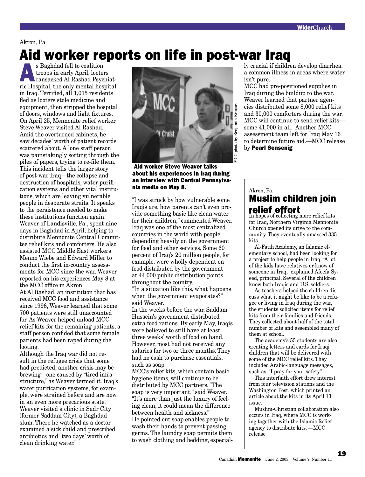Akron, Pa.

# Aid worker reports on life in post-war Iraq<br>Saghdad fell to coalition

S Baghdad fell to coalition<br>troops in early April, looter<br>ransacked Al Rashad Psych<br>rig Hearital the only montel best troops in early April, looters ransacked Al Rashad Psychiatric Hospital, the only mental hospital in Iraq. Terrified, all 1,015 residents fled as looters stole medicine and equipment, then stripped the hospital of doors, windows and light fixtures. On April 25, Mennonite relief worker Steve Weaver visited Al Rashad. Amid the overturned cabinets, he saw decades' worth of patient records scattered about. A lone staff person was painstakingly sorting through the piles of papers, trying to re-file them. This incident tells the larger story of post-war Iraq—the collapse and destruction of hospitals, water purification systems and other vital institutions, which are leaving vulnerable people in desperate straits. It speaks to the persistence needed to make these institutions function again. Weaver of Landisville, Pa., spent nine days in Baghdad in April, helping to distribute Mennonite Central Committee relief kits and comforters. He also assisted MCC Middle East workers Menno Wiebe and Edward Miller to conduct the first in-country assessments for MCC since the war. Weaver reported on his experiences May 8 at the MCC office in Akron.

At Al Rashad, an institution that has received MCC food and assistance since 1996, Weaver learned that some 700 patients were still unaccounted for. As Weaver helped unload MCC relief kits for the remaining patients, a staff person confided that some female patients had been raped during the looting.

Although the Iraq war did not result in the refugee crisis that some had predicted, another crisis may be brewing—one caused by "tired infrastructure," as Weaver termed it. Iraq's water purification systems, for example, were strained before and are now in an even more precarious state. Weaver visited a clinic in Sadr City (former Saddam City), a Baghdad slum. There he watched as a doctor examined a sick child and prescribed antibiotics and "two days' worth of clean drinking water."

![](_page_18_Picture_6.jpeg)

 Aid worker Steve Weaver talks about his experiences in Iraq during an interview with Central Pennsylvania media on May 8.  $\qquad \qquad$ Akron, Pa.

"I was struck by how vulnerable some Iraqis are, how parents can't even provide something basic like clean water for their children," commented Weaver. Iraq was one of the most centralized countries in the world with people depending heavily on the government for food and other services. Some 60 percent of Iraq's 20 million people, for example, were wholly dependent on food distributed by the government at 44,000 public distribution points throughout the country. "In a situation like this, what happens when the government evaporates?" said Weaver.

In the weeks before the war, Saddam Hussein's government distributed extra food rations. By early May, Iraqis were believed to still have at least three weeks' worth of food on hand. However, most had not received any salaries for two or three months. They had no cash to purchase essentials, such as soap.

MCC's relief kits, which contain basic hygiene items, will continue to be distributed by MCC partners. "The soap is very important," said Weaver. "It's more than just the luxury of feeling clean; it could mean the difference between health and sickness." He pointed out soap enables people to wash their hands to prevent passing germs. The laundry soap permits them to wash clothing and bedding, especially crucial if children develop diarrhea, a common illness in areas where water isn't pure.

MCC had pre-positioned supplies in Iraq during the buildup to the war. Weaver learned that partner agencies distributed some 8,000 relief kits and 30,000 comforters during the war. MCC will continue to send relief kits some 41,000 in all. Another MCC assessment team left for Iraq May 16 to determine future aid.—MCC release by Pearl Sensenig

# **relief effort**<br>In hopes of collecting more relief kits Muslim children join

for Iraq, Northern Virginia Mennonite Church opened its drive to the community. They eventually amassed 335 kits.

Al-Fatih Academy, an Islamic elementary school, had been looking for a project to help people in Iraq. "A lot of the kids have relatives or know of someone in Iraq," explained Afeefa Syeed, principal. Several of the children know both Iraqis and U.S. soldiers.

As teachers helped the children discuss what it might be like to be a refugee or living in Iraq during the war, the students solicited items for relief kits from their families and friends. They collected about half of the total number of kits and assembled many of them at school.

The academy's 55 students are also creating letters and cards for Iraqi children that will be delivered with some of the MCC relief kits. They included Arabic-language messages, such as, "I pray for your safety."

This interfaith effort drew interest from four television stations and the Washington Post, which printed an article about the kits in its April 13 issue.

Muslim-Christian collaboration also occurs in Iraq, where MCC is working together with the Islamic Relief agency to distribute kits. —MCC release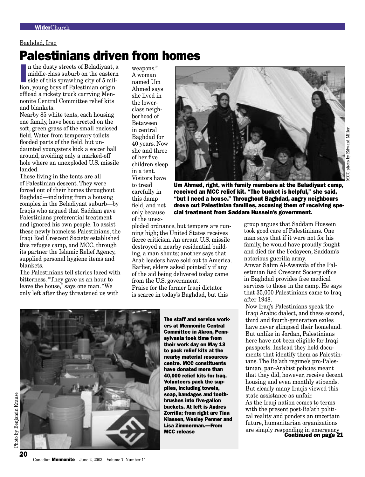### Baghdad, Iraq

# Palestinians driven from homes

In the dusty streets of Beladiyaat, a middle-class suburb on the eastern<br>side of this sprawling city of 5 mil-<br>lion, young boys of Palestinian origin n the dusty streets of Beladiyaat, a middle-class suburb on the eastern side of this sprawling city of 5 miloffload a rickety truck carrying Mennonite Central Committee relief kits and blankets.

Nearby 85 white tents, each housing one family, have been erected on the soft, green grass of the small enclosed field. Water from temporary toilets flooded parts of the field, but undaunted youngsters kick a soccer ball around, avoiding only a marked-off hole where an unexploded U.S. missile landed.

Those living in the tents are all of Palestinian descent. They were forced out of their homes throughout Baghdad—including from a housing complex in the Beladiyaat suburb—by Iraqis who argued that Saddam gave Palestinians preferential treatment and ignored his own people. To assist these newly homeless Palestinians, the Iraqi Red Crescent Society established this refugee camp, and MCC, through its partner the Islamic Relief Agency, supplied personal hygiene items and blankets.

The Palestinians tell stories laced with bitterness. "They gave us an hour to leave the house," says one man. "We only left after they threatened us with

weapons." A woman named Um Ahmed says she lived in the lowerclass neighborhood of Betaween in central Baghdad for 40 years. Now she and three of her five children sleep in a tent. Visitors have to tread carefully in this damp field, and not only because of the unex-

![](_page_19_Picture_8.jpeg)

Um Ahmed, right, with family members at the Beladiyaat camp, received an MCC relief kit. "The bucket is helpful," she said, "but I need a house." Throughout Baghdad, angry neighbours drove out Palestinian families, accusing them of receiving special treatment from Saddam Hussein's government.

ploded ordnance, but tempers are running high; the United States receives fierce criticism. An errant U.S. missile destroyed a nearby residential building, a man shouts; another says that Arab leaders have sold out to America. Earlier, elders asked pointedly if any of the aid being delivered today came from the U.S. government. Praise for the former Iraqi dictator is scarce in today's Baghdad, but this

![](_page_19_Picture_11.jpeg)

The staff and service workers at Mennonite Central Committee in Akron, Pennsylvania took time from their work day on May 13 to pack relief kits at the nearby material resources centre. MCC constituents have donated more than 40,000 relief kits for Iraq. Volunteers pack the supplies, including towels, soap, bandages and toothbrushes into five-gallon buckets. At left is Andres Zorrilla; from right are Tina Klassen, Wesley Penner and Lisa Zimmerman.—From MCC release

group argues that Saddam Hussein took good care of Palestinians. One man says that if it were not for his family, he would have proudly fought and died for the Fedayeen, Saddam's notorious guerilla army. Anwar Salim Al-Awawda of the Palestinian Red Crescent Society office in Baghdad provides free medical services to those in the camp. He says that 35,000 Palestinians came to Iraq after 1948.

Now Iraq's Palestinians speak the Iraqi Arabic dialect, and these second, third and fourth-generation exiles have never glimpsed their homeland. But unlike in Jordan, Palestinians here have not been eligible for Iraqi passports. Instead they hold documents that identify them as Palestinians. The Ba'ath regime's pro-Palestinian, pan-Arabist policies meant that they did, however, receive decent housing and even monthly stipends. But clearly many Iraqis viewed this state assistance as unfair. As the Iraqi nation comes to terms with the present post-Ba'ath political reality and ponders an uncertain future, humanitarian organizations are simply responding in emergency Continued on page 21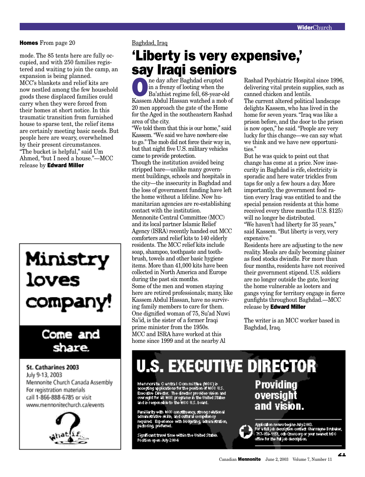### **Homes** From page 20 Baghdad, Iraq

mode. The 85 tents here are fully occupied, and with 250 families registered and waiting to join the camp, an expansion is being planned. MCC's blankets and relief kits are now nestled among the few household goods these displaced families could carry when they were forced from their homes at short notice. In this traumatic transition from furnished house to sparse tent, the relief items are certainly meeting basic needs. But people here are weary, overwhelmed by their present circumstances. "The bucket is helpful," said Um Ahmed, "but I need a house."—MCC release by Edward Miller

# Ministry<br>loves company!

# Come and share.

St. Catharines 2003 July 9-13, 2003 Mennonite Church Canada Assembly For registration materials call 1-866-888-6785 or visit www.mennonitechurch.ca/events

![](_page_20_Picture_6.jpeg)

# 'Liberty is very expensive,' say Iraqi seniors

**OREA Example 3** in a frenzy of looting when the Ba'athist regime fell, 68-year-o in a frenzy of looting when the Ba'athist regime fell, 68-year-old Kassem Abdul Hassan watched a mob of 20 men approach the gate of the Home for the Aged in the southeastern Rashad area of the city.

"We told them that this is our home," said Kassem. "We said we have nowhere else to go." The mob did not force their way in, but that night five U.S. military vehicles came to provide protection. Though the institution avoided being

stripped bare—unlike many government buildings, schools and hospitals in the city—the insecurity in Baghdad and the loss of government funding have left the home without a lifeline. Now humanitarian agencies are re-establishing contact with the institution. Mennonite Central Committee (MCC) and its local partner Islamic Relief Agency (ISRA) recently handed out MCC comforters and relief kits to 140 elderly residents. The MCC relief kits include soap, shampoo, toothpaste and toothbrush, towels and other basic hygiene items. More than 41,000 kits have been collected in North America and Europe during the past six months. Some of the men and women staying here are retired professionals; many, like Kassem Abdul Hassan, have no surviving family members to care for them. One dignified woman of 75, Su'ad Nuwi Sa'id, is the sister of a former Iraqi prime minister from the 1950s. MCC and ISRA have worked at this home since 1999 and at the nearby Al

Rashad Psychiatric Hospital since 1996, delivering vital protein supplies, such as canned chicken and lentils.

The current altered political landscape delights Kassem, who has lived in the home for seven years. "Iraq was like a prison before, and the door to the prison is now open," he said. "People are very lucky for this change—we can say what we think and we have new opportunities."

But he was quick to point out that change has come at a price. Now insecurity in Baghdad is rife, electricity is sporadic and here water trickles from taps for only a few hours a day. More importantly, the government food ration every Iraqi was entitled to and the special pension residents at this home received every three months (U.S. \$125) will no longer be distributed.

"We haven't had liberty for 35 years," said Kassem. "But liberty is very, very expensive."

Residents here are adjusting to the new reality. Meals are daily becoming plainer as food stocks dwindle. For more than four months, residents have not received their government stipend. U.S. soldiers are no longer outside the gate, leaving the home vulnerable as looters and gangs vying for territory engage in fierce gunfights throughout Baghdad.—MCC release by **Edward Miller** 

The writer is an MCC worker based in Baghdad, Iraq.

# **U.S. EXECUTIVE DIRECTOR**

Mennomite Clentral Committee (NCC) is<br>assepting applications for the position of NCC U.S.<br>Executive Director. The director provides vision and<br>oversight for all NCC programs in the United States<br>and is responsible to the N

Familiarly with NCC constituency, strong relational<br>administrative skills, and cultural competency<br>required. Experience with budgeting, administration,<br>packering, preferred.

Significant travel time within the United States. Position open July 2004

**Providing** oversight and vision.

![](_page_20_Picture_23.jpeg)

Application review begins July 2003.<br>For a full job description contact: Charmayne Brutsales,<br>1717-859-1151, odb Gmosorg or your nearest MCC<br>office for the full job description.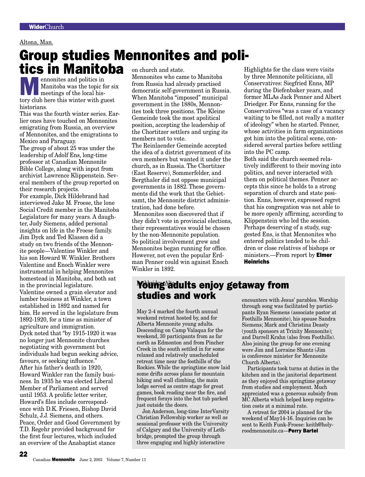### Altona, Man.

# Group studies Mennonites and poli-

# **EXECUTE IS A SET CONCRETENT MANUFACTURE IS A SET CONCRETENT OF THE MANUFACTURE IS A SET CONCRETENT OF THE ANGLE IS A SET CONCRETENT OF THE ANGLE OF THE ANGLE OF THE ANGLE OF THE ANGLE OF THE ANGLE OF THE ANGLE OF THE ANGL** Manitoba was the topic for six tory club here this winter with guest historians. tics in Manitoba on church and state.

This was the fourth winter series. Earlier ones have touched on Mennonites emigrating from Russia, an overview of Mennonites, and the emigrations to Mexico and Paraguay.

The group of about 25 was under the leadership of Adolf Ens, long-time professor at Canadian Mennonite Bible College, along with input from archivist Lawrence Klippenstein. Several members of the group reported on their research projects.

For example, Dick Hildebrand had interviewed Jake M. Froese, the lone Social Credit member in the Manitoba Legislature for many years. A daughter, Judy Siemens, added personal insights on life in the Froese family. Jim Dyck and Ted Klassen did a study on two friends of the Mennonite people—Valentine Winkler and his son Howard W. Winkler. Brothers Valentine and Enoch Winkler were instrumental in helping Mennonites homestead in Manitoba, and both sat in the provincial legislature. Valentine owned a grain elevator and lumber business at Winkler, a town established in 1892 and named for him. He served in the legislature from 1892-1920, for a time as minister of agriculture and immigration. Dyck noted that "by 1915-1920 it was no longer just Mennonite churches negotiating with government but individuals had begun seeking advice, favours, or seeking influence." After his father's death in 1920, Howard Winkler ran the family business. In 1935 he was elected Liberal Member of Parliament and served until 1953. A prolific letter writer, Howard's files include correspondence with D.K. Friesen, Bishop David Schulz, J.J. Siemens, and others. Peace, Order and Good Government by T.D. Regehr provided background for the first four lectures, which included an overview of the Anabaptist stance

Mennonites who came to Manitoba from Russia had already practised democratic self-government in Russia. When Manitoba "imposed" municipal government in the 1880s, Mennonites took three positions. The Kleine Gemeinde took the most apolitical position, accepting the leadership of the Chortitzer settlers and urging its members not to vote.

The Reinlaender Gemeinde accepted the idea of a district government of its own members but wanted it under the church, as in Russia. The Chortitzer (East Reserve), Sommerfelder, and Bergthaler did not oppose municipal governments in 1882. These governments did the work that the Gebietsamt, the Mennonite district administration, had done before. Mennonites soon discovered that if they didn't vote in provincial elections, their representatives would be chosen by the non-Mennonite population. So political involvement grew and Mennonites began running for office. However, not even the popular Erdman Penner could win against Enoch Winkler in 1892.

Highlights for the class were visits by three Mennonite politicians, all Conservatives: Siegfried Enns, MP during the Diefenbaker years, and former MLAs Jack Penner and Albert Driedger. For Enns, running for the Conservatives "was a case of a vacancy waiting to be filled, not really a matter of ideology" when he started. Penner, whose activities in farm organizations got him into the political scene, considered several parties before settling into the PC camp.

Both said the church seemed relatively indifferent to their moving into politics, and never interacted with them on political themes. Penner accepts this since he holds to a strong separation of church and state position. Enns, however, expressed regret that his congregation was not able to be more openly affirming, according to Klippenstein who led the session. Perhaps deserving of a study, suggested Ens, is that Mennonites who entered politics tended to be children or close relatives of bishops or ministers.—From report by **Elmer** Heinrichs

# <del>Young a</del>dults enjoy getaway from **studies and work** encounters with Jesus' parables. Worship

May 2-4 marked the fourth annual weekend retreat hosted by, and for Alberta Mennonite young adults. Descending on Camp Valaqua for the weekend, 30 participants from as far north as Edmonton and from Pincher Creek in the south settled in for some relaxed and relatively unscheduled retreat time near the foothills of the Rockies. While the springtime snow laid some drifts across plans for mountain hiking and wall climbing, the main lodge served as centre stage for great games, book reading near the fire, and frequent forays into the hot tub parked just outside the doors.

Jon Anderson, long-time InterVarsity Christian Fellowship worker as well as sessional professor with the University of Calgary and the University of Lethbridge, prompted the group through three engaging and highly interactive

through song was facilitated by participants Ryan Siemens (associate pastor at Foothills Mennonite), his spouse Sandra Siemens; Mark and Christina Deasty (youth sponsors at Trinity Mennonite); and Darrell Krahn (also from Foothills). Also joining the group for one evening were Jim and Lorraine Shantz (Jim is conference minister for Mennonite Church Alberta).

Participants took turns at duties in the kitchen and in the janitorial department as they enjoyed this springtime getaway from studies and employment. Much appreciated was a generous subsidy from MC Alberta which helped keep registration costs at a minimal rate.

A retreat for 2004 is planned for the weekend of May14-16. Inquiries can be sent to Keith Funk-Froese: keith@holyroodmennonite.ca—Perry Bartel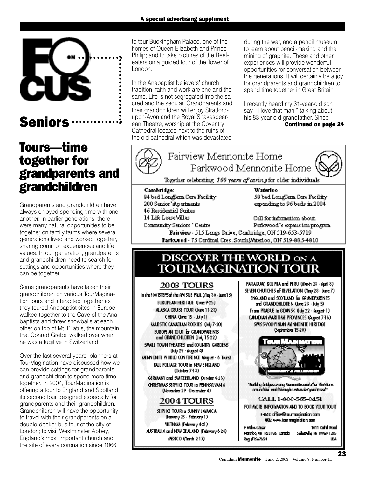![](_page_22_Picture_1.jpeg)

# **Seniors**

# Tours––time together for grandparents and grandchildren

Grandparents and grandchildren have always enjoyed spending time with one another. In earlier generations, there were many natural opportunities to be together on family farms where several generations lived and worked together, sharing common experiences and life values. In our generation, grandparents and grandchildren need to search for settings and opportunities where they can be together.

Some grandparents have taken their grandchildren on various TourMagination tours and interacted together as they toured Anabaptist sites in Europe, walked together to the Cave of the Anabaptists and threw snowballs at each other on top of Mt. Pilatus, the mountain that Conrad Grebel walked over when he was a fugitive in Switzerland.

Over the last several years, planners at TourMagination have discussed how we can provide settings for grandparents and grandchildren to spend more time together. In 2004, TourMagination is offering a tour to England and Scotland, its second tour designed especially for grandparents and their grandchildren. Grandchildren will have the opportunity: to travel with their grandparents on a double-decker bus tour of the city of London; to visit Westminster Abbey, England's most important church and the site of every coronation since 1066;

to tour Buckingham Palace, one of the homes of Queen Elizabeth and Prince Philip; and to take pictures of the Beefeaters on a guided tour of the Tower of London.

In the Anabaptist believers' church tradition, faith and work are one and the same. Life is not segregated into the sacred and the secular. Grandparents and their grandchildren will enjoy Stratfordupon-Avon and the Royal Shakespearean Theatre, worship at the Coventry Cathedral located next to the ruins of the old cathedral which was devastated

during the war, and a pencil museum to learn about pencil-making and the mining of graphite. These and other experiences will provide wonderful opportunities for conversation between the generations. It will certainly be a joy for grandparents and grandchildren to spend time together in Great Britain.

I recently heard my 31-year-old son say, "I love that man," talking about his 83-year-old grandfather. Since Continued on page 24

![](_page_22_Picture_11.jpeg)

Community Seniors " Centre Patkwood's expansion program Fairview- 515 Langs Drive, Cambridge, ON 519-653-5719 Farkwood - 75 Cardinal Cres. SouthWaterloo, ON 519-88.5-4810

# DISCOVER THE WORLD ON A **TOURMAGINATION TOUR**

# 2003 TOURS

In the FOO BTEPS of the APOSTLE PAUL (May 30 stare 15). EUROPEAN HERITAGE (June 9-25) ALASKA CRUISE TOUR Clune 11-230 CHNA (June 15 - July 1) MALESTIC CANADIAN ROOKIES (0x6/7-20) EUROPE AN TOUR EF GRANDPARENTS. and GRAND CHLDREN (Job 15-22) SIMUL TOWN THEATRES and COUNTRY GARDENS. (luly 29 - August 4) MENNIONITE WORLD CONFERENCE (August - 6 Tours) **BALL FOLLAGE TO UR in NEW ENGLAND.** (October 7-13) GERMANY and SMTZERLAND October 9-23). CHRISTANS SERVICE TOUR In PENNSYLVANIA. (November 29 - December 4) **2004 TOURS** 

SERVICE TOUR In SUNNY JAMACA. θαικαι γ 23 - February 1) **METNAM (February 421)** ASTRAIA and NEW ZEALAND (February 6-26). MEXICO (Wards 2-17)

PARAGUAY, BOLIVIA and PERU (March 23 - April 8). SEVEN CHURCHES of REVELATION (You 28 - June 7). ENGLAND and SCO LAND for GRANDPARENTS. and GRANDOHLDREN (June 23 - July 5). From PRAGUE to GDANSK (kdy 22 - August 1) CANCUAN MARITIME PROVINCES (August 7-16) SWSS-YOU HYNLAN MENNONITE HERITAGE Catarba 15-29)

![](_page_22_Picture_18.jpeg)

Building bridges arrang Nerron Ites and other Onlistians. uranutha verluthranghaestundesignal trandit

CALL 1-800-505-0451

FOR MORE INFORMATION AND TO BOOK YOUR TOUR. E-VAL: office@lourmocination.com

**VB: ww.laurmapholion.com** 

| 9 Milow Street                      | 1011 Codfoll Road               |
|-------------------------------------|---------------------------------|
| <b>Matalog OH H2J1V&amp; Canada</b> | S <b>akeral</b> a RN 18960-1315 |
| Reg #1567624                        | ШA                              |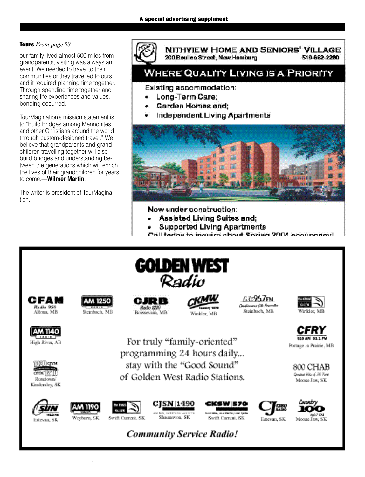# Tours *From page 23*

our family lived almost 500 miles from grandparents, visiting was always an event. We needed to travel to their communities or they travelled to ours, and it required planning time together. Through spending time together and sharing life experiences and values, bonding occurred.

TourMagination's mission statement is to "build bridges among Mennonites and other Christians around the world through custom-designed travel." We believe that grandparents and grandchildren travelling together will also build bridges and understanding between the generations which will enrich the lives of their grandchildren for years to come.—**Wilmer Martin**.

The writer is president of TourMagination.

![](_page_23_Picture_5.jpeg)

NITHVIEW HOME AND SENIORS' VILLAGE 519-662-2280 200 Boulles Street, New Hamburg

# **WHERE QUALITY LIVING IS A PRIORITY**

Existing accommodation:

- Long-Term Care;
- Garden Homes and:
- Independent Living Apartments

![](_page_23_Picture_12.jpeg)

Now under construction:

- Assisted Living Suites and;
- **Supported Living Apartments**
- Call today to inquire about Societ 2004 accurative

![](_page_23_Picture_17.jpeg)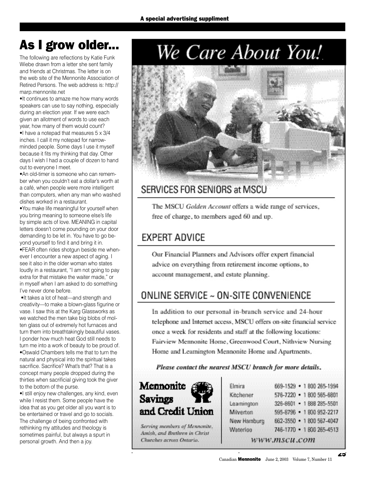# As I grow older...

The following are reflections by Katie Funk Wiebe drawn from a letter she sent family and friends at Christmas. The letter is on the web site of the Mennonite Association of Retired Persons. The web address is: http:// marp.mennonite.net

•It continues to amaze me how many words speakers can use to say nothing, especially during an election year. If we were each given an allotment of words to use each year, how many of them would count?

•I have a notepad that measures 5 x 3/4 inches. I call it my notepad for narrowminded people. Some days I use it myself because it fits my thinking that day. Other days I wish I had a couple of dozen to hand out to everyone I meet.

•An old-timer is someone who can remember when you couldn't eat a dollar's worth at a café, when people were more intelligent than computers, when any man who washed dishes worked in a restaurant.

•You make life meaningful for yourself when you bring meaning to someone else's life by simple acts of love. MEANING in capital letters doesn't come pounding on your door demanding to be let in. You have to go beyond yourself to find it and bring it in.

•FEAR often rides shotgun beside me whenever I encounter a new aspect of aging. I see it also in the older woman who states loudly in a restaurant, "I am not going to pay extra for that mistake the waiter made," or in myself when I am asked to do something I've never done before.

•It takes a lot of heat—and strength and creativity—to make a blown-glass figurine or vase. I saw this at the Karg Glassworks as we watched the men take big blobs of molten glass out of extremely hot furnaces and turn them into breathtakingly beautiful vases. I ponder how much heat God still needs to turn me into a work of beauty to be proud of. •Oswald Chambers tells me that to turn the natural and physical into the spiritual takes sacrifice. Sacrifice? What's that? That is a concept many people dropped during the thirties when sacrificial giving took the giver to the bottom of the purse.

•I still enjoy new challenges, any kind, even while I resist them. Some people have the idea that as you get older all you want is to be entertained or travel and go to socials. The challenge of being confronted with rethinking my attitudes and theology is sometimes painful, but always a spurt in personal growth. And then a joy.

# We Care About You!

![](_page_24_Picture_11.jpeg)

# SERVICES FOR SENIORS at MSCU

The MSCU Golden Account offers a wide range of services, free of charge, to members aged 60 and up.

# **EXPERT ADVICE**

Our Financial Planners and Advisors offer expert financial advice on everything from retirement income options, to account management, and estate planning.

# ONLINE SERVICE ~ ON-SITE CONVENIENCE

In addition to our personal in-branch service and 24-hour telephone and Internet access, MSCU offers on-site financial service once a week for residents and staff at the following locations: Fairview Mennonite Home, Greenwood Court, Nithview Nursing Home and Learnington Mennonite Home and Apartments.

Please contact the nearest MSCU branch for more details,

![](_page_24_Picture_19.jpeg)

Serving members of Mennonite, Amish, and Brethren in Christ Churches across Ontario.

| Elmira      | 669-1529 • 1 800 265-1994 |
|-------------|---------------------------|
| Kitchener   | 576-7220 • 1 800 565-6801 |
| Learnington | 326-8601 • 1888 285-5501  |
| Milverton   | 595-8796 • 1 800 952-2217 |
| New Hamburg | 662-3550 • 1800 567-4047  |
| Waterloo    | 746-1770 • 1800 265-4513  |
|             | www.mscu.com              |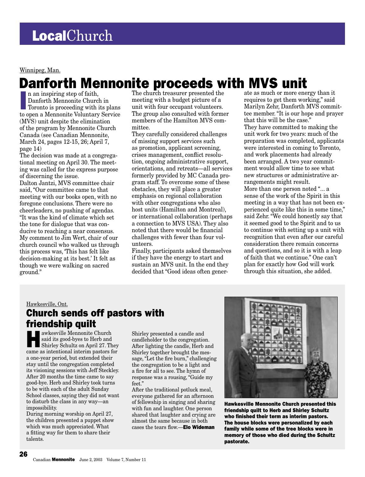### Winnipeg, Man.

# Danforth Mennonite proceeds with MVS unit

n an inspiring step of faith,<br>Danforth Mennonite Church in<br>Toronto is proceeding with its plans<br>to open a Mennonite Voluntary Service n an inspiring step of faith, Danforth Mennonite Church in Toronto is proceeding with its plans (MVS) unit despite the elimination of the program by Mennonite Church Canada (see Canadian Mennonite, March 24, pages 12-15, 26; April 7, page 14)

The decision was made at a congregational meeting on April 30. The meeting was called for the express purpose of discerning the issue.

Dalton Jantzi, MVS committee chair said, "Our committee came to that meeting with our books open, with no foregone conclusions. There were no cheerleaders, no pushing of agendas. "It was the kind of climate which set the tone for dialogue that was conducive to reaching a near consensus. My comment to Jim Wert, chair of our church council who walked us through this process was, 'This has felt like decision-making at its best.' It felt as though we were walking on sacred ground."

The church treasurer presented the meeting with a budget picture of a unit with four occupant volunteers. The group also consulted with former members of the Hamilton MVS committee.

They carefully considered challenges of missing support services such as promotion, applicant screening, crises management, conflict resolution, ongoing administrative support, orientations, and retreats—all services formerly provided by MC Canada program staff. To overcome some of these obstacles, they will place a greater emphasis on regional collaboration with other congregations who also host units (Hamilton and Montreal), or international collaboration (perhaps a connection to MVS USA). They also noted that there would be financial challenges with fewer than four volunteers.

Finally, participants asked themselves if they have the energy to start and sustain an MVS unit. In the end they decided that "Good ideas often gener-

ate as much or more energy than it requires to get them working," said Marilyn Zehr, Danforth MVS committee member. "It is our hope and prayer that this will be the case." They have committed to making the unit work for two years: much of the preparation was completed, applicants were interested in coming to Toronto, and work placements had already been arranged. A two year commitment would allow time to see what new structures or administrative arrangements might result. More than one person noted "... a sense of the work of the Spirit in this meeting in a way that has not been experienced quite like this in some time," said Zehr. "We could honestly say that it seemed good to the Spirit and to us to continue with setting up a unit with recognition that even after our careful consideration there remain concerns and questions, and so it is with a leap of faith that we continue." One can't plan for exactly how God will work through this situation, she added.

# Hawkesville, Ont.

# Church sends off pastors with **friendship quilt**<br> **E Notainary Meanonite Church**

Hawkesville Mennonite Church Shirley Schultz on April 27. They said its good-byes to Herb and came as intentional interim pastors for a one-year period, but extended their stay until the congregation completed its visioning sessions with Jeff Steckley. After 20 months the time came to say good-bye. Herb and Shirley took turns to be with each of the adult Sunday School classes, saying they did not want to disturb the class in any way—an impossibility.

During morning worship on April 27, the children presented a puppet show which was much appreciated. What a fitting way for them to share their talents.

26

Shirley presented a candle and candleholder to the congregation. After lighting the candle, Herb and Shirley together brought the message, "Let the fire burn," challenging the congregation to be a light and a fire for all to see. The hymn of response was a rousing, "Guide my feet."

After the traditional potluck meal, everyone gathered for an afternoon of fellowship in singing and sharing with fun and laughter. One person shared that laughter and crying are almost the same because in both cases the tears flow.—Elo Wideman

![](_page_25_Picture_16.jpeg)

Hawkesville Mennonite Church presented this friendship quilt to Herb and Shirley Schultz who finished their term as interim pastors. The house blocks were personalized by each family while some of the tree blocks were in memory of those who died during the Schultz pastorate.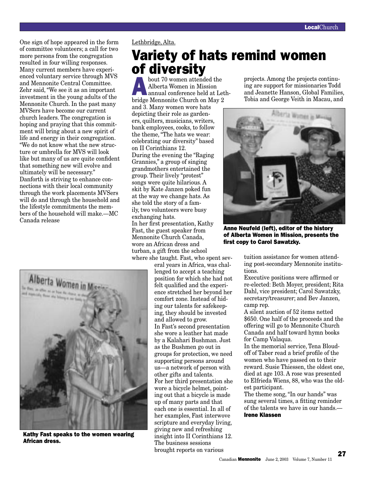One sign of hope appeared in the form of committee volunteers; a call for two more persons from the congregation resulted in four willing responses. Many current members have experienced voluntary service through MVS and Mennonite Central Committee. Zehr said, "We see it as an important investment in the young adults of the Mennonite Church. In the past many MVSers have become our current church leaders. The congregation is hoping and praying that this commitment will bring about a new spirit of life and energy in their congregation. "We do not know what the new structure or umbrella for MVS will look like but many of us are quite confident that something new will evolve and ultimately will be necessary." Danforth is striving to enhance connections with their local community through the work placements MVSers will do and through the household and the lifestyle commitments the members of the household will make.—MC Canada release

![](_page_26_Picture_2.jpeg)

Kathy Fast speaks to the women wearing African dress.

Lethbridge, Alta.

# Variety of hats remind women of diversity<br>bout 70 women attended the projects. Among the projects continu-

**About 70 women attended the Alberta Women in Mission**<br>
annual conference held at Leth-Alberta Women in Mission bridge Mennonite Church on May 2

and 3. Many women wore hats depicting their role as gardeners, quilters, musicians, writers, bank employees, cooks, to follow the theme, "The hats we wear: celebrating our diversity" based on II Corinthians 12. During the evening the "Raging Grannies," a group of singing grandmothers entertained the group. Their lively "protest" songs were quite hilarious. A skit by Kate Janzen poked fun at the way we change hats. As she told the story of a family, two volunteers were busy exchanging hats.

In her first presentation, Kathy Fast, the guest speaker from Mennonite Church Canada, wore an African dress and turban, a gift from the school where she taught. Fast, who spent sev-

> eral years in Africa, was challenged to accept a teaching position for which she had not felt qualified and the experience stretched her beyond her comfort zone. Instead of hiding our talents for safekeeping, they should be invested and allowed to grow. In Fast's second presentation she wore a leather hat made by a Kalahari Bushman. Just as the Bushmen go out in groups for protection, we need supporting persons around us—a network of person with other gifts and talents. For her third presentation she wore a bicycle helmet, pointing out that a bicycle is made up of many parts and that each one is essential. In all of her examples, Fast interwove scripture and everyday living, giving new and refreshing insight into II Corinthians 12. The business sessions brought reports on various

ing are support for missionaries Todd and Jeanette Hanson, Global Families, Tobia and George Veith in Macau, and

![](_page_26_Picture_11.jpeg)

Anne Neufeld (left), editor of the history of Alberta Women in Mission, presents the first copy to Carol Sawatzky.

tuition assistance for women attending post-secondary Mennonite institutions.

Executive positions were affirmed or re-elected: Beth Moyer, president; Rita Dahl, vice president; Carol Sawatzky, secretary/treasurer; and Bev Janzen, camp rep.

A silent auction of 52 items netted \$650. One half of the proceeds and the offering will go to Mennonite Church Canada and half toward hymn books for Camp Valaqua.

In the memorial service, Tena Bloudoff of Taber read a brief profile of the women who have passed on to their reward. Susie Thiessen, the oldest one, died at age 103. A rose was presented to Elfrieda Wiens, 88, who was the oldest participant.

The theme song, "In our hands" was sung several times, a fitting reminder of the talents we have in our hands.— Irene Klassen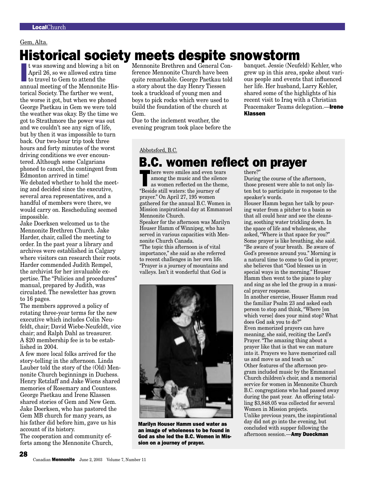# Gem, Alta.

# Historical society meets despite snowstorm

It was snowing and blowing a bit on<br>April 26, so we allowed extra time<br>to travel to Gem to attend the<br>annual meeting of the Mennonite Hist was snowing and blowing a bit on April 26, so we allowed extra time to travel to Gem to attend the torical Society. The farther we went, the worse it got, but when we phoned George Paetkau in Gem we were told the weather was okay. By the time we got to Strathmore the power was out and we couldn't see any sign of life, but by then it was impossible to turn back. Our two-hour trip took three hours and forty minutes of the worst driving conditions we ever encountered. Although some Calgarians phoned to cancel, the contingent from Edmonton arrived in time! We debated whether to hold the meeting and decided since the executive, several area representatives, and a handful of members were there, we

would carry on. Rescheduling seemed impossible. Jake Doerksen welcomed us to the

Mennonite Brethren Church. Jake Harder, chair, called the meeting to order. In the past year a library and archives were established in Calgary where visitors can research their roots. Harder commended Judith Rempel, the archivist for her invaluable expertise. The "Policies and procedures" manual, prepared by Judith, was circulated. The newsletter has grown to 16 pages.

The members approved a policy of rotating three-year terms for the new executive which includes Colin Neufeldt, chair; David Wiebe-Neufeldt, vice chair; and Ralph Dahl as treasurer. A \$20 membership fee is to be established in 2004.

A few more local folks arrived for the story-telling in the afternoon. Linda Lauber told the story of the (Old) Mennonite Church beginnings in Duchess. Henry Retzlaff and Jake Wiens shared memories of Rosemary and Countess. George Paetkau and Irene Klassen shared stories of Gem and New Gem. Jake Doerksen, who has pastored the Gem MB church for many years, as his father did before him, gave us his account of its history.

The cooperation and community efforts among the Mennonite Church,

28

Mennonite Brethren and General Conference Mennonite Church have been quite remarkable. George Paetkau told a story about the day Henry Tiessen took a truckload of young men and boys to pick rocks which were used to build the foundation of the church at Gem.

Due to the inclement weather, the evening program took place before the banquet. Jessie (Neufeld) Kehler, who grew up in this area, spoke about various people and events that influenced her life. Her husband, Larry Kehler, shared some of the highlights of his recent visit to Iraq with a Christian Peacemaker Teams delegation.—Irene Klassen

Abbotsford, B.C.

# **B.C. women reflect on prayer**

**EXECUTE:** There were smiles and even tears<br>
as women reflected on the theme,<br>
"Boside still waters: the journal of among the music and the silence "Beside still waters: the journey of prayer." On April 27, 195 women gathered for the annual B.C. Women in Mission inspirational day at Emmanuel Mennonite Church.

Speaker for the afternoon was Marilyn Houser Hamm of Winnipeg, who has served in various capacities with Mennonite Church Canada.

"The topic this afternoon is of vital importance," she said as she referred to recent challenges in her own life. "Prayer is a journey of mountains and valleys. Isn't it wonderful that God is

![](_page_27_Picture_17.jpeg)

Marilyn Houser Hamm used water as an image of wholeness to be found in God as she led the B.C. Women in Mission on a journey of prayer.

there?"

During the course of the afternoon, those present were able to not only listen but to participate in response to the speaker's words.

Houser Hamm began her talk by pouring water from a pitcher to a basin so that all could hear and see the cleansing, soothing water trickling down. In the space of life and wholeness, she asked, "Where is that space for you?" Some prayer is like breathing, she said. "Be aware of your breath. Be aware of God's presence around you." Morning is a natural time to come to God in prayer; she believes that "God blesses us in special ways in the morning." Houser Hamm then went to the piano to play and sing as she led the group in a musical prayer response.

In another exercise, Houser Hamm read the familiar Psalm 23 and asked each person to stop and think, "Where [on which verse] does your mind stop? What does God ask you to do?"

Even memorized prayers can have meaning, she said, reciting the Lord's Prayer. "The amazing thing about a prayer like that is that we can mature into it. Prayers we have memorized call us and move us and teach us." Other features of the afternoon program included music by the Emmanuel Church children's choir, and a memorial service for women in Mennonite Church B.C. congregations who had passed away during the past year. An offering totalling \$3,848.05 was collected for several Women in Mission projects. Unlike previous years, the inspirational day did not go into the evening, but concluded with supper following the afternoon session.—Amy Dueckman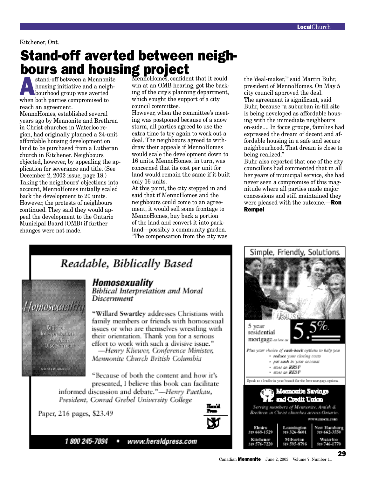# Kitchener, Ont.

# Stand-off averted between neigh **bours and housing project**<br> **A** stand-off between a Mennonite MennoHomes, confident that it could

Astand-off between a Mennonite bourhood group was averted housing initiative and a neighwhen both parties compromised to reach an agreement.

MennoHomes, established several years ago by Mennonite and Brethren in Christ churches in Waterloo region, had originally planned a 24-unit affordable housing development on land to be purchased from a Lutheran church in Kitchener. Neighbours objected, however, by appealing the application for severance and title. (See December 2, 2002 issue, page 18.) Taking the neighbours' objections into account, MennoHomes initially scaled back the development to 20 units. However, the protests of neighbours continued. They said they would appeal the development to the Ontario Municipal Board (OMB) if further changes were not made.

Homosexualita

**Bigin** 

follor preformar

Citizen di venezi di

of More.<br>Disce criteria

win at an OMB hearing, got the backing of the city's planning department, which sought the support of a city council committee.

However, when the committee's meeting was postponed because of a snow storm, all parties agreed to use the extra time to try again to work out a deal. The neighbours agreed to withdraw their appeals if MennoHomes would scale the development down to 16 units. MennoHomes, in turn, was concerned that its cost per unit for land would remain the same if it built only 16 units.

At this point, the city stepped in and said that if MennoHomes and the neighbours could come to an agreement, it would sell some frontage to MennoHomes, buy back a portion of the land and convert it into parkland—possibly a community garden. "The compensation from the city was

the 'deal-maker,'" said Martin Buhr, president of MennoHomes. On May 5 city council approved the deal. The agreement is significant, said Buhr, because "a suburban in-fill site is being developed as affordable housing with the immediate neighbours on-side.... In focus groups, families had expressed the dream of decent and affordable housing in a safe and secure neighbourhood. That dream is close to being realized."

Buhr also reported that one of the city councillors had commented that in all her years of municipal service, she had never seen a compromise of this magnitude where all parties made major concessions and still maintained they were pleased with the outcome.—**Ron Rempel** 

# Readable, Biblically Based

# Homosexuality

**Biblical Interpretation and Moral Discernment** 

"Willard Swartley addresses Christians with family members or friends with homosexual issues or who are themselves wrestling with their orientation. Thank you for a serious effort to work with such a divisive issue." -Henry Kliewer, Conference Minister,

Mennonite Church British Columbia

"Because of both the content and how it's presented, I believe this book can facilitate

informed discussion and debate."-Henry Paetkau, President, Conrad Grebel University College

Paper, 216 pages, \$23.49

![](_page_28_Picture_18.jpeg)

1 800 245-7894

![](_page_28_Picture_20.jpeg)

![](_page_28_Picture_21.jpeg)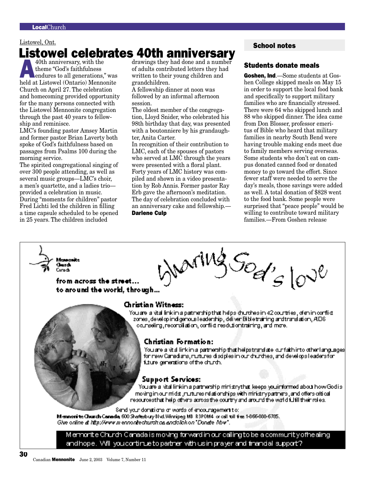# $\frac{\text{Listowel, Ont.}}{\text{Listowel, Ont.}}$ **Listowel celebrates 40th anniversary**<br> $\sum_{\text{40th}\text{ aninverse}}$  40th anniversary, with the drawings they had done and a number

40th anniversary, with the<br>theme "God's faithfulness<br>endures to all generations," was<br>held at Listewel (Opterio) Mennonite theme "God's faithfulness held at Listowel (Ontario) Mennonite Church on April 27. The celebration and homecoming provided opportunity for the many persons connected with the Listowel Mennonite congregation through the past 40 years to fellowship and reminisce.

LMC's founding pastor Amsey Martin and former pastor Brian Laverty both spoke of God's faithfulness based on passages from Psalms 100 during the morning service.

The spirited congregational singing of over 300 people attending, as well as several music groups—LMC's choir, a men's quartette, and a ladies trio provided a celebration in music. During "moments for children" pastor Fred Lichti led the children in filling a time capsule scheduled to be opened in 25 years. The children included

of adults contributed letters they had written to their young children and grandchildren.

A fellowship dinner at noon was followed by an informal afternoon session.

The oldest member of the congregation, Lloyd Snider, who celebrated his 98th birthday that day, was presented with a boutonniere by his grandaughter, Anita Carter.

In recognition of their contribution to LMC, each of the spouses of pastors who served at LMC through the years were presented with a floral plant. Forty years of LMC history was compiled and shown in a video presentation by Rob Annis. Former pastor Ray Erb gave the afternoon's meditation. The day of celebration concluded with an anniversary cake and fellowship.— Darlene Culp

### Students donate meals

Goshen, Ind.-Some students at Goshen College skipped meals on May 15 in order to support the local food bank and specifically to support military families who are financially stressed. There were 64 who skipped lunch and 88 who skipped dinner. The idea came from Don Blosser, professor emeritus of Bible who heard that military families in nearby South Bend were having trouble making ends meet due to family members serving overseas. Some students who don't eat on campus donated canned food or donated money to go toward the effort. Since fewer staff were needed to serve the day's meals, those savings were added as well. A total donation of \$828 went to the food bank. Some people were surprised that "peace people" would be willing to contribute toward military families.—From Goshen release

![](_page_29_Picture_13.jpeg)

andhope. Will you continue to partner with us in prayer and financial support?.

30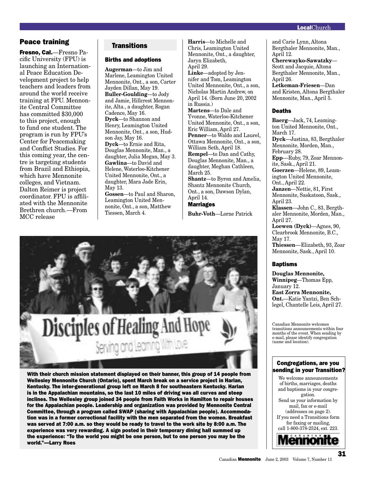# Peace training Transitions

Fresno, Cal.—Fresno Pacific University (FPU) is launching an International Peace Education Development project to help teachers and leaders from around the world receive training at FPU. Mennonite Central Committee has committed \$30,000 to this project, enough to fund one student. The program is run by FPU's Center for Peacemaking and Conflict Studies. For this coming year, the centre is targeting students from Brazil and Ethiopia, which have Mennonite colleges, and Vietnam. Dalton Reimer is project coordinator. FPU is affiliated with the Mennonite Brethren church.—From MCC release

# Births and adoptions

**Augerman**—to Jim and Marlene, Leamington United Mennonite, Ont., a son, Carter Jayden Dillan, May 19. **Buller-Goulding**—to Jody and Jamie, Hillcrest Mennonite, Alta., a daughter, Rogan Cadence, May 16. **Dyck**—to Shannon and Henry, Leamington United Mennonite, Ont., a son, Hudson Jay, May 16. **Dyck**—to Ernie and Rita, Douglas Mennonite, Man., a daughter, Julia Megan, May 3. **Gawlina**—to David and Helene, Waterloo-Kitchener United Mennonite, Ont., a daughter, Mara Jade Erin, May 13. **Gossen**—to Paul and Sharon, Leamington United Mennonite, Ont., a son, Matthew Tiessen, March 4.

**Harris**—to Michelle and Chris, Leamington United Mennonite, Ont., a daughter, Jaryn Elizabeth, April 29. **Linke**—adopted by Jennifer and Tom, Leamington United Mennonite, Ont., a son, Nicholas Martin Andrew, on April 14. (Born June 20, 2002 in Russia.) **Martens**—to Dale and Yvonne, Waterloo-Kitchener United Mennonite, Ont., a son, Eric William, April 27. **Penner**—to Waldo and Laurel, Ottawa Mennonite, Ont., a son, William Seth, April 18. **Rempel**—to Dan and Cathy, Douglas Mennonite, Man., a daughter, Meghan Cathleen, March 25. **Shantz**—to Byron and Amelia, Shantz Mennonite Church, Ont., a son, Dawson Dylan, April 14. Marriages **Buhr-Voth**—Lorne Patrick

![](_page_30_Picture_7.jpeg)

With their church mission statement displayed on their banner, this group of 14 people from Wellesley Mennonite Church (Ontario), spent March break on a service project in Harlan, Kentucky. The inter-generational group left on March 8 for southeastern Kentucky. Harlan is in the Appalachian mountains, so the last 10 miles of driving was all curves and steep inclines. The Wellesley group joined 34 people from Faith Works in Hamilton to repair houses for the Appalachian people. Leadership and organization was provided by Mennonite Central Committee, through a program called SWAP (sharing with Appalachian people). Accommodation was in a former correctional facility with the men separated from the women. Breakfast was served at 7:00 a.m. so they would be ready to travel to the work site by 8:00 a.m. The experience was very rewarding. A sign posted in their temporary dining hall summed up the experience: "To the world you might be one person, but to one person you may be the world."—Larry Roes

### and Carie Lynn, Altona Bergthaler Mennonite, Man., April 12.

**Cherewayko-Sawatzky**— Scott and Jacquie, Altona Bergthaler Mennonite, Man., April 26.

**Letkeman-Friesen**—Dan and Kristen, Altona Bergthaler Mennonite, Man., April 5.

### Deaths

**Baerg**—Jack, 74, Leamington United Mennonite, Ont., March 17. **Dyck**—Justina, 83, Bergthaler Mennonite, Morden, Man., February 28. **Epp**––Ruby, 79, Zoar Mennonite, Sask., April 21. **Goerzen**—Helene, 89, Leamington United Mennonite, Ont., April 22. **Janzen**—Nettie, 81, First Mennonite, Saskatoon, Sask., April 23. **Klassen**—John C., 83, Bergthaler Mennonite, Morden, Man., April 27. **Loewen (Dyck)**—Agnes, 90, Clearbrook Mennonite, B.C., May 17. **Thiessen**––Elizabeth, 93, Zoar Mennonite, Sask., April 10.

### Baptisms

**Douglas Mennonite, Winnipeg**—Thomas Epp, January 12. **East Zorra Mennonite, Ont.**—Katie Yantzi, Ben Schlegel, Chantelle Leis, April 27.

Canadian Mennonite welcomes transitions announcements within four months of the event. When sending by e-mail, please identify congregation (name and location).

### Congregations, are you sending in your Transition?

We welcome announcements of births, marriages, deaths and baptisms in your congregation. Send us your information by mail, fax or e-mail (addresses on page 2). If you need a Transitions form for faxing or mailing, call 1-800-378-2524, ext. 223.*<u> Tennonit</u>* 

31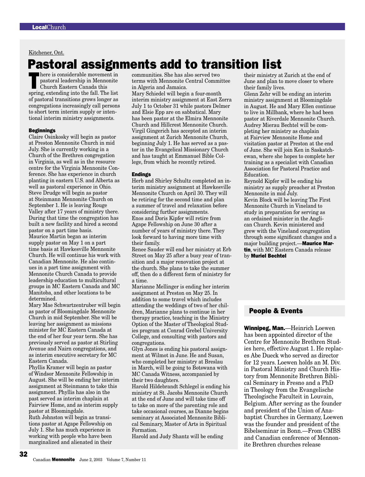Kitchener, Ont.

# **Pastoral assignments add to transition list**<br>**Example to the index** of their ministry at communities. She has also served two their ministry at

There is considerable movement in<br>pastoral leadership in Mennonite<br>Church Eastern Canada this<br>graving ortording into the foll. The list pastoral leadership in Mennonite Church Eastern Canada this spring, extending into the fall. The list of pastoral transitions grows longer as congregations increasingly call persons to short term interim supply or intentional interim ministry assignments.

### **Beginnings**

Claire Osinkosky will begin as pastor at Preston Mennonite Church in mid July. She is currently working in a Church of the Brethren congregation in Virginia, as well as in the resource centre for the Virginia Mennonite Conference. She has experience in church planting in eastern U.S. and Alberta as well as pastoral experience in Ohio. Steve Drudge will begin as pastor at Steinmann Mennonite Church on September 1. He is leaving Rouge Valley after 17 years of ministry there. During that time the congregation has built a new facility and hired a second pastor on a part time basis. Maurice Martin began as interim supply pastor on May 1 on a part time basis at Hawkesville Mennonite Church. He will continue his work with Canadian Mennonite. He also continues in a part time assignment with Mennonite Church Canada to provide leadership education to multicultural groups in MC Eastern Canada and MC Manitoba, and other locations to be determined.

Mary Mae Schwartzentruber will begin as pastor of Bloomingdale Mennonite Church in mid September. She will be leaving her assignment as missions minister for MC Eastern Canada at the end of her four year term. She has previously served as pastor at Stirling Avenue and Nairn congregations, and as interim executive secretary for MC Eastern Canada.

Phyllis Kramer will begin as pastor of Windsor Mennonite Fellowship in August. She will be ending her interim assignment at Steinmann to take this assignment. Phyllis has also in the past served as interim chaplain at Fairview Home, and as interim supply pastor at Bloomingdale. Ruth Johnston will begin as transi-

tions pastor at Agape Fellowship on July 1. She has much experience in working with people who have been marginalized and alienated in their

32

communities. She has also served two terms with Mennonite Central Committee in Algeria and Jamaica.

Mary Schiedel will begin a four-month interim ministry assignment at East Zorra July 1 to October 31 while pastors Delmer and Elsie Epp are on sabbatical. Mary has been pastor at the Elmira Mennonite Church and Hillcrest Mennonite Church. Virgil Gingerich has accepted an interim assignment at Zurich Mennonite Church, beginning July 1. He has served as a pastor in the Evangelical Missionary Church and has taught at Emmanuel Bible College, from which he recently retired.

### **Endings**

Herb and Shirley Schultz completed an interim ministry assignment at Hawkesville Mennonite Church on April 30. They will be retiring for the second time and plan a summer of travel and relaxation before considering further assignments. Enos and Doris Kipfer will retire from Agape Fellowship on June 30 after a number of years of ministry there. They look forward to having more time with their family.

Renee Sauder will end her ministry at Erb Street on May 25 after a busy year of transition and a major renovation project at the church. She plans to take the summer off, then do a different form of ministry for a time.

Marianne Mellinger is ending her interim assignment at Preston on May 25. In addition to some travel which includes attending the weddings of two of her children, Marianne plans to continue in her therapy practice, teaching in the Ministry Option of the Master of Theological Studies program at Conrad Grebel University College, and consulting with pastors and congregations.

Glyn Jones is ending his pastoral assignment at Wilmot in June. He and Susan, who completed her ministry at Breslau in March, will be going to Botswana with MC Canada Witness, accompanied by their two daughters.

Harold Hildebrandt Schlegel is ending his ministry at St. Jacobs Mennonite Church at the end of June and will take time off to take on more of the parenting role and take occasional courses, as Dianne begins seminary at Associated Mennonite Biblical Seminary, Master of Arts in Spiritual Formation.

Harold and Judy Shantz will be ending

their ministry at Zurich at the end of June and plan to move closer to where their family lives.

Glenn Zehr will be ending an interim ministry assignment at Bloomingdale in August. He and Mary Ellen continue to live in Millbank, where he had been pastor at Riverdale Mennonite Church. Audrey Mierau Bechtel will be completing her ministry as chaplain at Fairview Mennonite Home and visitation pastor at Preston at the end of June. She will join Ken in Saskatchewan, where she hopes to complete her training as a specialist with Canadian Association for Pastoral Practice and Education.

Reynold Kipfer will be ending his ministry as supply preacher at Preston Mennonite in mid July. Kevin Block will be leaving The First Mennonite Church in Vineland to study in preparation for serving as an ordained minister in the Anglican Church. Kevin ministered and grew with the Vineland congregation through some significant changes and a major building project.-Maurice Martin, with MC Eastern Canada release by Muriel Bechtel

# People & Events

Winnipeg, Man.-Heinrich Loewen has been appointed director of the Centre for Mennonite Brethren Studies here, effective August 1. He replaces Abe Dueck who served as director for 12 years. Loewen holds an M. Div. in Pastoral Ministry and Church History from Mennonite Brethren Biblical Seminary in Fresno and a PhD in Theology from the Evangelische Theologische Faculteit in Louvain, Belgium. After serving as the founder and president of the Union of Anabaptist Churches in Germany, Loewen was the founder and president of the Bibelseminar in Bonn.—From CMBS and Canadian conference of Mennonite Brethren churches release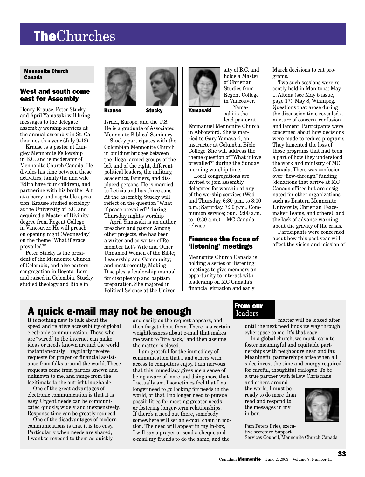# LocalChurch LocalChurch TheChurches

### Mennonite Church Canada

# West and south come east for Assembly

Henry Krause, Peter Stucky, and April Yamasaki will bring messages to the delegate assembly worship services at the annual assembly in St. Catharines this year (July 9-13).

Krause is a pastor at Langley Mennonite Fellowship in B.C. and is moderator of Mennonite Church Canada. He divides his time between these activities, family (he and wife Edith have four children), and partnering with his brother Alf at a berry and vegetable operation. Krause studied sociology at the University of B.C. and acquired a Master of Divinity degree from Regent College in Vancouver. He will preach on opening night (Wednesday) on the theme "What if grace prevailed?"

Peter Stucky is the president of the Mennonite Church of Colombia, and also pastors congregation in Bogota. Born and raised in Colombia, Stucky studied theology and Bible in

![](_page_32_Picture_6.jpeg)

Krause Stucky Yamasaki

Israel, Europe, and the U.S. He is a graduate of Associated Mennonite Biblical Seminary.

Stucky participates with the Colombian Mennonite Church in building bridges between the illegal armed groups of the left and of the right, different political leaders, the military, academics, farmers, and displaced persons. He is married to Leticia and has three sons. At the assembly, Stucky will reflect on the question "What if peace prevailed?" during Thursday night's worship

April Yamasaki is an author, preacher, and pastor. Among other projects, she has been a writer and co-writer of Remember Lot's Wife and Other Unnamed Women of the Bible; Leadership and Community; and most recently, Making Disciples, a leadership manual for discipleship and baptism preparation. She majored in Political Science at the Univer-

![](_page_32_Picture_11.jpeg)

sity of B.C. and holds a Master of Christian Studies from Regent College in Vancouver. Yama-

saki is the

lead pastor at Emmanuel Mennonite Church in Abbotsford. She is married to Gary Yamasaki, an instructor at Columbia Bible College. She will address the theme question of "What if love prevailed?" during the Sunday morning worship time.

Local congregations are invited to join assembly delegates for worship at any of the worship services (Wed and Thursday, 6:30 p.m. to 8:00 p.m.; Saturday, 7:30 p.m., Communion service; Sun., 9:00 a.m. to 10:30 a.m.).—MC Canada release

# Finances the focus of 'listening' meetings

Mennonite Church Canada is holding a series of "listening" meetings to give members an opportunity to interact with leadership on MC Canada's financial situation and early

March decisions to cut programs.

Two such sessions were recently held in Manitoba: May 1, Altona (see May 5 issue, page 17); May 8, Winnipeg. Questions that arose during the discussion time revealed a mixture of concern, confusion and lament. Participants were concerned about how decisions were made to reduce programs. They lamented the loss of those programs that had been a part of how they understood the work and ministry of MC Canada. There was confusion over "flow-through" funding (donations that arrive at MC Canada offices but are designated for other organizations, such as Eastern Mennonite University, Christian Peacemaker Teams, and others), and the lack of advance warning about the gravity of the crisis.

Participants were concerned about how this past year will affect the vision and mission of

# A quick e-mail may not be enough From our

It is nothing new to talk about the speed and relative accessibility of global electronic communication. Those who are "wired" to the internet can make ideas or needs known around the world instantaneously. I regularly receive requests for prayer or financial assistance from folks around the world. These requests come from parties known and unknown to me, and range from the legitimate to the outright laughable.

One of the great advantages of electronic communication is that it is easy. Urgent needs can be communicated quickly, widely and inexpensively. Response time can be greatly reduced.

One of the disadvantages of modern communications is that it is too easy. Particularly when needs are shared, I want to respond to them as quickly

and easily as the request appears, and then forget about them. There is a certain weightlessness about e-mail that makes me want to "fire back," and then assume the matter is closed.

I am grateful for the immediacy of communication that I and others with access to computers enjoy. I am nervous that this immediacy gives me a sense of being aware of more and doing more that I actually am. I sometimes feel that I no longer need to go looking for needs in the world, or that I no longer need to pursue possibilities for meeting greater needs or fostering longer-term relationships. If there's a need out there, somebody somewhere will set an e-mail chain in motion. The need will appear in my in-box, I will say a prayer or send a cheque and e-mail my friends to do the same, and the

# leaders

matter will be looked after until the next need finds its way through cyberspace to me. It's that easy!

In a global church, we must learn to foster meaningful and equitable partnerships with neighbours near and far. Meaningful partnerships arise when all sides invest the time and energy required for careful, thoughtful dialogue. To be a true partner with fellow Christians

and others around the world, I must be ready to do more than read and respond to the messages in my in-box.

![](_page_32_Picture_31.jpeg)

Pam Peters Pries, executive secretary, Support Services Council, Mennonite Church Canada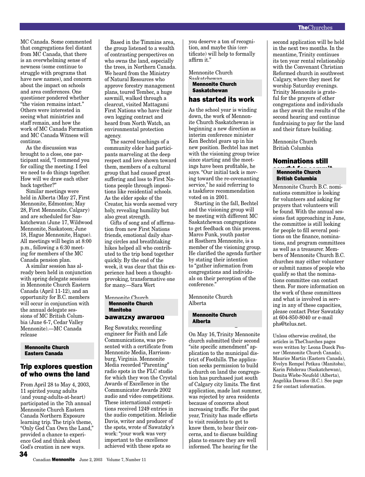MC Canada. Some commented that congregations feel distant from MC Canada, that there is an overwhelming sense of newness (some continue to struggle with programs that have new names), and concern about the impact on schools and area conferences. One questioner pondered whether "the vision remains intact." Others were interested in seeing what ministries and staff remain, and how the work of MC Canada Formation and MC Canada Witness will continue.

As the discussion was brought to a close, one participant said, "I commend you for calling the meeting. I feel we need to do things together. How will we draw each other back together?"

Similar meetings were held in Alberta (May 27, First Mennonite, Edmonton; May 28, First Mennonite, Calgary) and are scheduled for Saskatchewan (June 17, Wildwood Mennonite, Saskatoon; June 18, Hague Mennonite, Hague). All meetings will begin at 8:00 p.m., following a 6:30 meeting for members of the MC Canada pension plan.

A similar session has already been held in conjunction with spring delegate sessions in Mennonite Church Eastern Canada (April 11-12), and an opportunity for B.C. members will occur in conjunction with the annual delegate sessions of MC British Columbia (June 6-7, Cedar Valley Mennonite).—MC Canada release

### Mennonite Church Mennonite Church Eastern Canada Eastern Canada

### Trip explores question of who owns the land

From April 28 to May 4, 2003, 11 spirited young adults (and young-adults-at-heart) participated in the 7th annual Mennonite Church Eastern Canada Northern Exposure learning trip. The trip's theme, "Only God Can Own the Land," provided a chance to experience God and think about God's creation in new ways.

Based in the Timmins area, the group listened to a wealth of contrasting perspectives on who owns the land, especially the trees, in Northern Canada. We heard from the Ministry of Natural Resources who approve forestry management plans, toured Tembec, a huge sawmill, walked through a clearcut, visited Mattagami First Nations who have their own logging contract and heard from North Watch, an environmental protection agency.

The sacred teachings of a community elder had participants marveling at the deep respect and love shown toward them, members of a cultural group that had caused great suffering and loss to First Nations people through impositions like residential schools. As the elder spoke of the Creator, his words seemed very holy, revealing humility but also great strength.

Gifts of song and of affirmation from new First Nations friends, emotional daily sharing circles and breathtaking hikes helped all who contributed to the trip bond together quickly. By the end of the week, it was clear that this experience had been a thoughtprovoking, transformative one for many.—Sara Wert

Mennonite Church Mennonite Church Manitoba

### Sawatzky awarded

Reg Sawatzky, recording engineer for Faith and Life Communications, was presented with a certificate from Mennonite Media, Harrisonburg, Virginia. Mennonite Media recorded "Parenting" radio spots in the FLC studio for which they won the Crystal Awards of Excellence in the Communicator Awards 2002 audio and video competitions. These international competitions received 1249 entries in the audio competition. Melodie Davis, writer and producer of the spots, wrote of Sawatzky's work: "your work was very important to the excellence achieved with these spots so

you deserve a ton of recognition, and maybe this (certificate) will help to formally affirm it."

Mennonite Church Saskatchewan

Saskatchewan Mennonite Church

# has started its work

As the school year is winding down, the work of Mennonite Church Saskatchewan is beginning a new direction as interim conference minister Ken Bechtel gears up in his new position. Bechtel has met with the visioning group twice since starting and the meetings have been profitable, he says. "Our initial tack is moving toward the re-covenanting service," he said referring to a taskforce recommendation voted on in 2001.

Starting in the fall, Bechtel and the visioning group will be meeting with different MC Saskatchewan congregations to get feedback on this process. Marco Funk, youth pastor at Rosthern Mennonite, is a member of the visioning group. He clarified the agenda further by stating their intention to "gather information from congregations and individuals on their perception of the conference."

Mennonite Church Alberta

# Mennonite Church<br>All alberta<br>————————————————————

On May 16, Trinity Mennonite church submitted their second "site specific amendment" application to the municipal district of Foothills. The application seeks permission to build a church on land the congregation has purchased just south of Calgary city limits. The first application, made last summer, was rejected by area residents because of concerns about increasing traffic. For the past year, Trinity has made efforts to visit residents to get to know them, to hear their concerns, and to discuss building plans to ensure they are well informed. The hearing for the

second application will be held in the next two months. In the meantime, Trinity continues its ten year rental relationship with the Convenant Christian Reformed church in southwest Calgary, where they meet for worship Saturday evenings. Trinity Mennonite is grateful for the prayers of other congregations and individuals as they await the results of the second hearing and continue fundraising to pay for the land and their future building.

Mennonite Church British Columbia

### Nominations still

# sought for commit-Mennonite Church monnounce onary

Mennonite Church B.C. nominations committee is looking for volunteers and asking for prayers that volunteers will be found. With the annual sessions fast approaching in June, the committee is still looking for people to fill several positions on the finance, nominations, and program committees as well as a treasurer. Members of Mennonite Church B.C. churches may either volunteer or submit names of people who qualify so that the nominations committee can contact them. For more information on the work of these committees and what is involved in serving in any of these capacities, please contact Peter Sawatzky at 604-850-8040 or e-mail phs@telus.net.

Unless otherwise credited, the articles in TheChurches pages were written by: Leona Dueck Penner (Mennonite Church Canada), Maurice Martin (Eastern Canada), Evelyn Rempel Petkau (Manitoba), Karin Fehderau (Saskatchewan), Donita Wiebe-Neufeld (Alberta), Angelika Dawson (B.C.). See page 2 for contact information.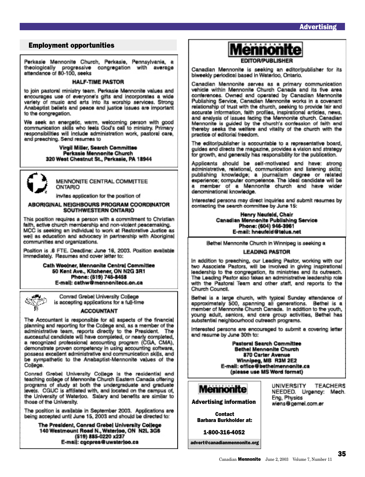# Employment opportunities

Perkasie Mennonite Church, Perkasie, Pennsylvania, a theologically progressive congregation with average attendance of 80-100, seeks

### **HALF-TIME PASTOR**

to join pastoral ministry team. Perkasie Mennonite values and encourages use of everyone's gifts and incorporates a wide variety of music and arts into its worship services. Strong Anabaptist beliefs and peace and justice issues are important to the congregation.

We seek an energetic, warm, welcoming person with good communication skills who feels God's call to ministry. Primary responsibilities will include administration work, pastoral care, and preaching. Send resumes to

> Virgil Miller, Search Committee Perkasie Mennonite Church 320 West Chestnut St., Perkasie, PA 18944

![](_page_34_Picture_7.jpeg)

MENNONITE CENTRAL COMMITTEE ONTARIO

invites application for the position of

### ABORIGINAL NEIGHBOURS PROGRAM COORDINATOR SOUTHWESTERN ONTARIO

This position requires a person with a commitment to Christian faith, active church membership and non-violent peacemaking. MCC is seeking an individual to work at Restorative Justice as well as education and advocacy in partnership with Aboriginal communities and organizations.

Position is .6 FTE. Deadline: June 16, 2003. Position available immediately. Resumes and cover letter to:

> Cath Woolner, Mennonite Central Committee 50 Kent Ave., Kitchener, ON N2G 3R1 Phone: (519) 745-8458 E-mail: cathw@mennonitecc.on.ca

![](_page_34_Picture_14.jpeg)

Conrad Grebel University College is accepting applications for a full-time

### **ACCOUNTANT**

The Accountant is responsible for all aspects of the financial planning and reporting for the College and, as a member of the administrative team, reports directly to the President. The successful candidate will have completed, or nearly completed, a recognized professional accounting program (CGA, CMA), demonstrate proven competency in using accounting software, possess excellent administrative and communication skills, and be sympathetic to the Anabaptist-Mennonite values of the College.

Conrad Grebel University College is the residential and<br>teaching college of Mennonite Church Eastern Canada offering programs of study at both the undergraduate and graduate levels. CGUC is affiliated with, and located on the campus of the University of Waterloo. Salary and benefits are similar to those of the University.

The position is available in September 2003. Applications are being accepted until June 15, 2003 and should be directed to:

The President, Conrad Grebel University College 140 Westmount Road N., Waterloo, ON N2L 3G6<br>(519) 885-0220 x237 E-mail: cocpres@uwaterloo.ca

**Aennonite** 

**FDITOR/PURLISHER** 

Canadian Mennonite is seeking an editor/publisher for its biweekly periodical based in Waterloo, Ontario,

Canadian Mennonite serves as a primary communication vehicle within Mennonite Church Canada and its five area conferences. Owned and operated by Canadian Mennonite<br>Publishing Service, Canadian Mennonite works in a covenant relationship of trust with the church, seeking to provide fair and accurate information, faith profiles, inspirational articles, news, and analysis of issues facing the Mennonite church. Canadian Mennonite is guided by the church's confession of faith and thereby seeks the welfare and vitality of the church with the practice of editorial freedom.

The editor/publisher is accountable to a representative board, guides and directs the magazine, provides a vision and strategy for growth, and generally has responsibility for the publication.

Applicants should be self-motivated and have: strong administrative, relational, communication and listening skills; publishing knowledge; a journalism degree or related<br>experience; computer competence. The ideal candidate will be a member of a Mennonite church and have wider denominational knowledge.

Interested persons may direct inquiries and submit resumes by contacting the search committee by June 15:

> Henry Neufeld, Chair Canadian Mennonite Publishing Service Phone: (604) 946-3961 E-mail: hneufeld@telus.net

Bethel Mennonite Church in Winnipeg is seeking a

### **LEADING PASTOR**

In addition to preaching, our Leading Pastor, working with our two Associate Pastors, will be involved in giving inspirational leadership to the congregation, its ministries and its outreach. The Leading Pastor also takes an administrative leadership role with the Pastoral Team and other staff, and reports to the Church Council.

Bethel is a large church, with typical Sunday attendance of approximately 500, spanning all generations. Bethel is a member of Mennonite Church Canada. In addition to the youth, young adult, seniors, and care group activities, Bethel has substantial neighbourhood outreach programs.

interested persons are encouraged to submit a covering letter and resume by June 30th to:

> **Pastoral Search Committee Bethel Mennonite Church** 870 Carter Avenue Winnipeg, MB R3M 2E2 E-mail: office@bethelmennonite.ca (please use MS Word format)

![](_page_34_Picture_35.jpeg)

Advertising information

Contact Barbara Burkholder at:

1-800-316-4052

advert@canadianmennonite.org

UNIVERSITY TEACHERS NEEDED. Urgency: Mech. Eng, Physics wiens@gemel.com.er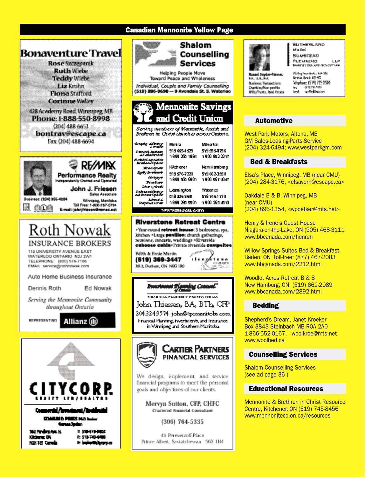# **Canadian Mennonite Yellow Page**

![](_page_35_Picture_1.jpeg)

![](_page_35_Picture_2.jpeg)

428 Academy Road, Winnipeg, MB Phone: 1-888-550-8998  $(204)$  488 6653

bontrav@escape.ca Fax: (204) 488-6694

![](_page_35_Picture_5.jpeg)

Auto Home Business Insurance

Dennis Roth

Ed Nowak

Serving the Mennonite Community throughout Ontario

![](_page_35_Picture_10.jpeg)

Allianz (il)

![](_page_35_Picture_12.jpeg)

Kikima OH KGH DEI Camela P. 511-749-4440 E **Iniversi**yaya

![](_page_35_Picture_15.jpeg)

Shalom Counselling **Services** 

**Helping People Move Toward Peace and Wholeness** 

Individual, Couple and Family Counselling (519) 886-9690 -- 9 Avondale St. S. Waterloo

![](_page_35_Picture_19.jpeg)

Serving members of Mannonite, Amish and Brettown in Christ clareches across Ontario.

| ري <del>ده د</del> ی چې<br>Parama) budang<br>Al'amaGandar                                                             | 8mira<br>519 669-1529<br>1900 265 1994      | Mikatan<br>519.295-9796<br>1900.952.2217   |  |  |
|-----------------------------------------------------------------------------------------------------------------------|---------------------------------------------|--------------------------------------------|--|--|
| Schief Bonnettik<br>Jeremani Optice<br><b>Rondrowin</b><br><b>Early Inventories</b><br>Madaga <del>r</del><br>Tendone | Kitchener<br>519576-7220<br>1900 525 6901   | NewHamburg<br>519 662-3250<br>1900 5674047 |  |  |
| Idea y Only<br><b>Schweddates</b><br>and Jersens Codesia<br><b>Julianet A.</b><br><b>Richard Lat</b>                  | Learnington<br>519326-9601<br>1898.295.5501 | Waterloo<br>5197464770<br>1800 255 4518    |  |  |
| www.mseu.com                                                                                                          |                                             |                                            |  |  |

**Riverstone Retreat Centre** 

+Year-round retreat house: 5 bedrooms, spa, kitchen . Large pavilion: church gatherings, reunions, concerts, weddings \*Riverside caboose cabin-Private riverside campeltes

![](_page_35_Picture_24.jpeg)

![](_page_35_Picture_25.jpeg)

matangon<br>⊂ Portug

**FIRAR CIAL FLAR RID & FRONTS TORALS** John Thiessen, BA, BTh, CFP 2043249574 john@ipemenitobs.com Financial Planning, Investments, and Insurance in Winnipeg and Southern Manitobal

![](_page_35_Picture_27.jpeg)

We design, implement, and service financial programs to meet the personal goals and objectives of our clients.

Mervyn Sutton, CFP, CHFC **Chartered Financial Consultant** 

(306) 764-5335

49 Pereverzoff Place Prince Albert, Saskatchewan S6X 1B4

![](_page_35_Picture_32.jpeg)

**SUSTAINS AND WAHH BUMSTEAD Рефилиры LLP BARRISTOWN AND WOUNDED BY** 

ut Snyder-Pe **IA U.L.RA Buriness Transactions** Charibis Mon-profits Wila/Franx, Real Estate **Thing transmit - Set 28:** beyon beat \$11.95 'elsekeen (STA) ?25-2374  $4.926 - 1856$ ы beat. tamPeddian.com

# Automotive Automotive

West Park Motors, Altona, MB GM Sales-Leasing-Parts-Service (204) 324-6494; www.westparkgm.com

# Bed & Breakfasts Bed & Breakfasts

Elsa's Place, Winnipeg, MB (near CMU) (204) 284-3176, <elsavern@escape.ca>

Oakdale B & B, Winnipeg, MB (near CMU) (204) 896-1354, <wpoetker@mts.net>

Henry & Irene's Guest House Niagara-on-the-Lake, ON (905) 468-3111 www.bbcanada.com/henren

Willow Springs Suites Bed & Breakfast Baden, ON toll-free: (877) 467-2083 www.bbcanada.com/2212.html

Woodlot Acres Retreat B & B New Hamburg, ON (519) 662-2089 www.bbcanada.com/2892.html

# Bedding

Shepherd's Dream, Janet Kroeker Box 3843 Steinbach MB R0A 2A0 1-866-552-0167, woolkroe@mts.net www.woolbed.ca

### Counselling Services Counselling Services

Shalom Counselling Services (see ad page 36 )

# Educational Resources Educational Resources

Mennonite & Brethren in Christ Resource Centre, Kitchener, ON (519) 745-8456 www.mennonitecc.on.ca/resources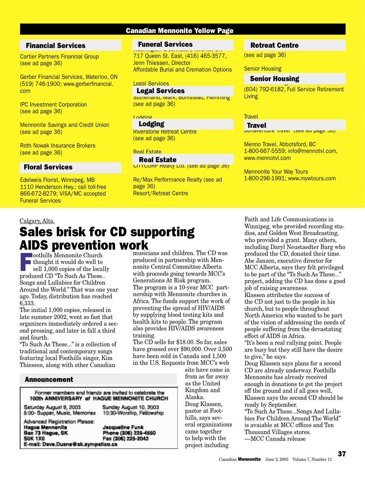# **Canadian Mennonite Yellow Page**

# 3Financial Services Financial Services

Cartier Partners Financial Group (see ad page 36)

Gerber Financial Services, Waterloo, ON (519) 746-1900; www.gerberfinancial. com

IPC Investment Corporation (see ad page 36)

Mennonite Savings and Credit Union (see ad page 36)

Roth Nowak Insurance Brokers (see ad page 36)

# Floral Services Floral Services

Edelweis Florist, Winnipeg, MB 1110 Henderson Hwy.; call toll-free 866-672-8279; VISA/MC accepted Funeral Services

# **Funeral Services**

Washington & Johnston, Toronto, ON 717 Queen St. East, (416) 465-3577, Jenn Thiessen, Director Affordable Burial and Cremation Options

### Legal Services

Sutherland, Mark, Bumstead, Flemming (see ad page 36) Legal Services

# Lodging

Riverstone Retreat Centre (see ad page 36) Lodging

### Real Estate

CITYCORP Realty Ltd. (see ad page 36) Real Estate

Re/Max Performance Realty (see ad page 36) Resort/Retreat Centre

# **Retreat Centre**

(see ad page 36)

### Senior Housing

# Senior Housing<br>Senior Housing, Chilliwack, BC

(604) 792-6182, Full Service Retirement **Living** 

### **Travel**

### **Travel**

**Bonaventure Travel (see au page 30)** 

Menno Travel, Abbotsford, BC 1-800-667-5559; info@mennotvl.com, www.mennotvl.com

Mennonite Your Way Tours 1-800-296-1991; www.mywtours.com

# Calgary, Alta.

# Sales brisk for CD supporting **AIDS prevention work**

oothills Mennonite Church<br>thought it would do well to<br>sell 1,000 copies of the local<br>produced CD "To Such As These thought it would do well to sell 1,000 copies of the locally produced CD "To Such As These.. Songs and Lullabies for Children Around the World." That was one year ago. Today, distribution has reached 6,333.

The initial 1,000 copies, released in late summer 2002, went so fast that organizers immediately ordered a second pressing, and later in fall a third and fourth.

"To Such As These..." is a collection of traditional and contemporary songs featuring local Foothills singer, Kim Thiessen, along with other Canadian

musicians and children. The CD was produced in partnership with Mennonite Central Committee Alberta with proceeds going towards MCC's Generations At Risk program. The program is a 10-year MCC partnership with Mennonite churches in Africa. The funds support the work of preventing the spread of HIV/AIDS by supplying blood testing kits and health kits to people. The program also provides HIV/AIDS awareness training.

The CD sells for \$18.00. So far, sales have grossed over \$90,000. Over 3,500 have been sold in Canada and 1,500 in the U.S. Requests from MCC's web

### Announcement

**Hague Mennonite** 

Box 73 Hague, SK

**SOK 1X0** 

Former members and friends are invited to celebrate the 100th ANNIVERSARY of HAGUE MENNONITE CHURCH

Saturday August 9, 2003 5:00- Supper, Music, Memories Sunday August 10, 2003 10:30-Worship, Fellowship

**Advanced Registration Please:** Jacqueline Funk Phone (306) 225-4550 Fax (306) 225-2042 E-mail: Dave.Duane@sk.sympatico.ca

site have come in from as far away as the United Kingdom and Alaska. Doug Klassen, pastor at Foothills, says several organizations came together to help with the project including

Faith and Life Communications in Winnipeg, who provided recording studios, and Golden West Broadcasting, who provided a grant. Many others, including Daryl Neustaedter Barg who produced the CD, donated their time. Abe Janzen, executive director for MCC Alberta, says they felt privileged to be part of the "To Such As These..." project, adding the CD has done a good job of raising awareness. Klassen attributes the success of the CD not just to the people in his church, but to people throughout North America who wanted to be part of the vision of addressing the needs of people suffering from the devastating effect of AIDS in Africa.

"It's been a real rallying point. People are busy but they still have the desire to give," he says.

Doug Klassen says plans for a second CD are already underway. Foothills Mennonite has already received enough in donations to get the project off the ground and if all goes well, Klassen says the second CD should be ready by September.

"To Such As These...Songs And Lullabies For Children Around The World" is avaiable at MCC offices and Ten Thousand Villages stores. ––MCC Canada release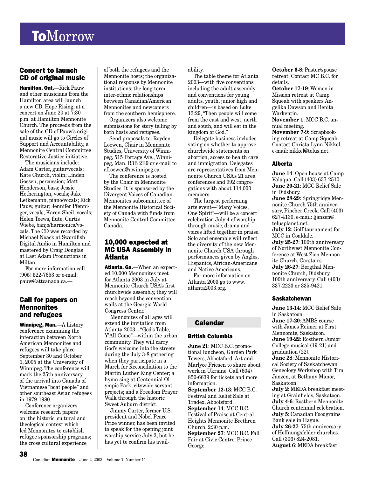# **ToMorrow**

# Concert to launch CD of original music

Hamilton, Ont.—Rick Pauw and other musicians from the Hamilton area will launch a new CD, Hope Rising, at a concert on June 20 at 7:30 p.m. at Hamilton Mennonite Church. The proceeds from the sale of the CD of Pauw's original music will go to Circles of Support and Accountability, a Mennonite Central Committee Restorative Justice initiative.

The musicians include: Adam Carter, guitar/vocals; Kate Church, violin; Linden Gossen, percussion; Matt Henderson, bass; Jessie Hetherington, vocals; Jake Letkemann, piano/vocals; Rick Pauw, guitar; Jennifer Pfenniger, vocals; Karen Sheil, vocals; Helen Toews, flute; Curtis Wiebe, banjo/harmonica/vocals. The CD was recorded by Michael Noack at Swordfish Digital Audio in Hamilton and mastered by Craig Douglas at Last Adam Productions in Milton.

For more information call (905) 522-7653 or e-mail: pauw@attcanada.ca.—

# Call for papers on **Mennonites** and refugees

Winnipeg, Man.—A history conference examining the interaction between North American Mennonites and refugees will take place September 30 and October 1, 2005 at the University of Winnipeg. The conference will mark the 25th anniversary of the arrival into Canada of Vietnamese "boat people" and other southeast Asian refugees in 1979-1980.

Conference organizers welcome research papers on: the historic, cultural and theological context which led Mennonites to establish refugee sponsorship programs; the cross cultural experience

38

of both the refugees and the Mennonite hosts; the organizational response by Mennonite institutions; the long-term inter-ethnic relationships between Canadian/American Mennonites and newcomers from the southern hemisphere.

Organizers also welcome submissions for story telling by both hosts and refugees.

Send proposals to: Royden Loewen, Chair in Mennonite Studies, University of Winnipeg, 515 Portage Ave., Winnipeg, Man. R3B 2E9 or e-mail to r.Loewen@uwinnipeg.ca.

The conference is hosted by the Chair in Mennonite Studies. It is sponsored by the Divergent Voices of Canadian Mennonites subcommittee of the Mennonite Historical Society of Canada with funds from Mennonite Central Committee Canada.

# 10,000 expected at MC USA Assembly in Atlanta

Atlanta, Ga.—When an expected 10,000 Mennonites meet for Atlanta 2003 in July at Mennonite Church USA's first churchwide assembly, they will reach beyond the convention walls at the Georgia World Congress Center.

Mennonites of all ages will extend the invitation from Atlanta 2003—"God's Table, Y'All Come"—within the urban community. They will carry God's welcome into the streets during the July 3-8 gathering when they participate in a March for Reconciliation to the Martin Luther King Center; a hymn sing at Centennial Olympic Park; citywide servant projects; and a Freedom Prayer Walk through the historic Sweet Auburn district.

Jimmy Carter, former U.S. president and Nobel Peace Prize winner, has been invited to speak for the opening joint worship service July 3, but he has yet to confirm his availability.

The table theme for Atlanta 2003—with five conventions including the adult assembly and conventions for young adults, youth, junior high and children—is based on Luke 13:29, "Then people will come from the east and west, north and south, and will eat in the kingdom of God."

Delegate business includes voting on whether to approve churchwide statements on abortion, access to health care and immigration. Delegates are representatives from Mennonite Church USA's 21 area conferences and 992 congregations with about 114,000 members.

The largest performing arts event—"Many Voices, One Spirit"—will be a concert celebration July 4 of worship through music, drama and voices lifted together in praise. Solo and ensemble will reflect the diversity of the new Mennonite Church USA through performances given by Anglos, Hispanics, African-Americans and Native Americans.

For more information on Atlanta 2003 go to www. atlanta2003.org.

# Calendar

### British Columbia

**June 21**: MCC B.C. promotional luncheon, Garden Park Towers, Abbotsford. Art and Marlyce Friesen to share about work in Ukraine. Call (604) 850-6639 for tickets and more information. **September 12-13**: MCC B.C. Festival and Relief Sale at Tradex, Abbotsford. **September 14**: MCC B.C. Festival of Praise at Central Heights Mennonite Brethren Church, 2:30 p.m. **September 27**: MCC B.C. Fall Fair at Civic Centre, Prince George.

**October 6-8**: Pastor/spouse retreat. Contact MC B.C. for details.

**October 17-19**: Women in Mission retreat at Camp Squeah with speakers Angelika Dawson and Benita Warkentin.

**November 1**: MCC B.C. annual meeting.

**November 7-9**: Scrapbooking retreat at Camp Squeah. Contact Christa Lynn Nikkel, e-mail: nikkel@telus.net.

### Alberta

**June 14**: Open house at Camp Valaqua. Call (403) 637-2510. **June 20-21**: MCC Relief Sale in Didsbury. **June 28-29**: Springridge Mennonite Church 75th anniversary, Pincher Creek. Call (403) 627-4130, e-mail: ljanzen@ telusplanet.net. **July 12**: Golf tournament for MCC in Coaldale. **July 25-27**: 100th anniversary of Northwest Mennonite Conference at West Zion Mennonite Church, Carstairs. **July 26-27**: Bergthal Mennonite Church, Didsbury, 100th anniversary. Call (403) 337-2223 or 335-9421.

### **Saskatchewan**

**June 13-14**: MCC Relief Sale in Saskatoon. **June 17-20**: AMBS course with James Reimer at First Mennonite, Saskatoon. **June 19-22**: Rosthern Junior College musical (19-21) and graduation (22). **June 28**: Mennonite Historical Society of Saskatchewan Geneology Workshop with Tim Janzen, at Bethany Manor, Saskatoon. **July 2**: MEDA breakfast meeting at Grainfields, Saskatoon. **July 4-6**: Rosthern Mennonite Church centennial celebration. **July 5**: Canadian Foodgrains Bank sale in Hague. **July 26-27**: 75th anniversary of Hoffnungsfelder churches. Call (306) 824-2081. **August 6**: MEDA breakfast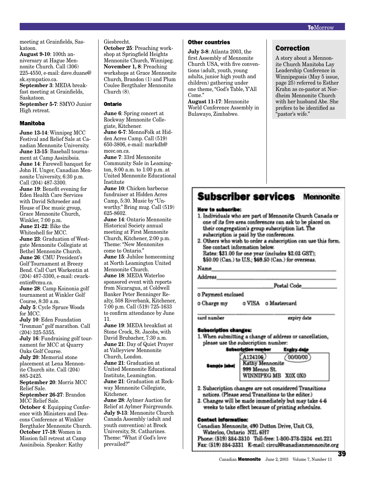meeting at Grainfields, Saskatoon.

**August 9-10**: 100th anniversary at Hague Mennonite Church. Call (306) 225-4550, e-mail: dave.duane@

sk.sympatico.ca. **September 3**: MEDA breakfast meeting at Grainfields, Saskatoon.

**September 5-7**: SMYO Junior High retreat.

### Manitoba

**June 13-14**: Winnipeg MCC Festival and Relief Sale at Canadian Mennonite University. **June 13-15**: Baseball tournament at Camp Assiniboia. **June 14**: Farewell banquet for John H. Unger, Canadian Mennonite University, 6:30 p.m. Call (204) 487-3300. **June 19**: Benefit evening for Eden Health Care Services with David Schroeder and House of Doc music group, Grace Mennonite Church, Winkler, 7:00 p.m. **June 21-22**: Bike the Whiteshell for MCC. **June 23**: Graduation of Westgate Mennonite Collegiate at Bethel Mennonite Church. **June 26**: CMU President's Golf Tournament at Breezy Bend. Call Curt Warkentin at (204) 487-3300, e-mail: cwarkentin@cmu.ca. **June 28**: Camp Koinonia golf tournament at Winkler Golf Course, 8:30 a.m. **July 5**: Cycle Spruce Woods for MCC. **July 10**: Eden Foundation "Ironman" golf marathon. Call (204) 325-5355. **July 16**: Fundraising golf tournament for MCC at Quarry Oaks Golf Course. **July 20**: Memorial stone placement at Lena Mennonite Church site. Call (204) 885-2425. **September 20**: Morris MCC Relief Sale. **September 26-27**: Brandon MCC Relief Sale. **October 4: Equipping Confer**ence with Ministers and Deacons Conference at Winkler Bergthaler Mennonite Church. **October 17-18**: Women in

Mission fall retreat at Camp Assiniboia. Speaker: Kathy

Giesbrecht.

**October 25**: Preaching workshop at Springfield Heights Mennonite Church, Winnipeg. **November 1, 8**: Preaching workshops at Grace Mennonite Church, Brandon (1) and Plum Coulee Bergthaler Mennonite Church  $(8)$ .

### Ontario

**June 6**: Spring concert at Rockway Mennonite Collegiate, Kitchener. **June 6-7**: MennoFolk at Hidden Acres Camp. Call (519) 650-3806, e-mail: markdh@ mcec.on.ca. **June 7**: 33rd Mennonite Community Sale in Leamington, 8:00 a.m. to 1:00 p.m. at United Mennonite Educational Institute **June 10**: Chicken barbecue fundraiser at Hidden Acres Camp, 5:30. Music by "Unworthy." Bring mug. Call (519) 625-8602. **June 14**: Ontario Mennonite Historical Society annual meeting at First Mennonite Church, Kitchener, 2:00 p.m. Theme: "New Mennonites come to Ontario." **June 15**: Jubilee homecoming at North Leamington United Mennonite Church. **June 18**: MEDA Waterloo sponsored event with reports from Nicaragua, at Coldwell Banker Peter Benninger Realty, 508 Riverbank, Kitchener, 7:00 p.m. Call (519) 725-1633 to confirm attendance by June 11. **June 19**: MEDA breakfast at Stone Crock, St. Jacobs, with David Brubacher, 7:30 a.m.

**June 21**: Day of Quiet Prayer at Valleyview Mennonite Church, London. **June 21**: Graduation at United Mennonite Educational Institute, Leamington. **June 21**: Graduation at Rockway Mennonite Collegiate, Kitchener. **June 28**: Aylmer Auction for Relief at Aylmer Fairgrounds. **July 9-13**: Mennonite Church Canada Assembly (adult and youth convention) at Brock University, St. Catharines. Theme: "What if God's love prevailed?"

### Other countries

**July 3-8**: Atlanta 2003, the first Assembly of Mennonite Church USA, with five conventions (adult, youth, young adults, junior high youth and children) gathering under one theme, "God's Table, Y'All Come."

**August 11-17**: Mennonite World Conference Assembly in Bulawayo, Zimbabwe.

# Correction

A story about a Mennonite Church Manitoba Lay Leadership Conference in Winnipegosis (May 5 issue, page 25) referred to Esther Krahn as co-pastor at Nordheim Mennonite Church with her husband Abe. She prefers to be identified as "pastor's wife."

# **Subscriber services** Mennonite

### How to subscribe:

- 1. Individuals who are part of Mennonite Church Canada or one of its five area conferences can ask to be placed on their congregation's group subscription list. The subscription is paid by the conferences.
- 2. Others who wish to order a subscription can use this form. See contact information below. Rates: \$31.00 for one year (includes \$2.03 GST):

\$50.00 (Can.) to U.S.; \$69.50 (Can.) for overseas.

Address

eard number

Postal Code

o Payment enclosed

o Charge my o VISA o Mastercard

expiry date

# **Subscription changes:**

1. When submitting a change of address or cancellation, please use the subscription number:

### **Subscription number Expiry date**

| Sampje jaboj | $\frac{\text{A1}}{\text{Km}}$ |
|--------------|-------------------------------|
|              | $\frac{995}{W1}$              |

24106)  $(00/00/00)$ hy Mennonite Menno St NNIPEG MB XOX OXO

- 2. Subscription changes are not considered Transitions notices. (Please send Transitions to the editor.)
- 3. Changes will be made immediately but may take 4-6 weeks to take effect because of printing schedules.

### **Contact information:**

Canadian Mennonite, 490 Dutton Drive, Unit C5, Waterloo, Ontario N2L 6H7 Phone: (519) 884-3810 Toll-free: 1-800-378-2524 ext.221 Fax: (519) 884-3331 E-mail: circul@canadianmennonite.org

39